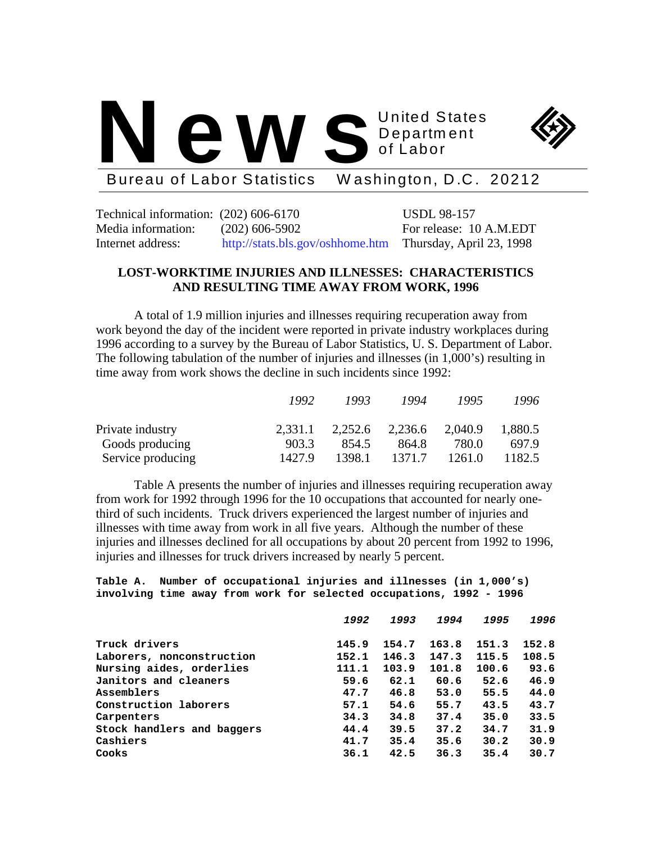



Bureau of Labor Statistics W ashington, D.C. 20212

Technical information: (202) 606-6170 USDL 98-157 Media information: (202) 606-5902 For release: 10 A.M.EDT Internet address: http://stats.bls.gov/oshhome.htm Thursday, April 23, 1998

# **LOST-WORKTIME INJURIES AND ILLNESSES: CHARACTERISTICS AND RESULTING TIME AWAY FROM WORK, 1996**

A total of 1.9 million injuries and illnesses requiring recuperation away from work beyond the day of the incident were reported in private industry workplaces during 1996 according to a survey by the Bureau of Labor Statistics, U. S. Department of Labor. The following tabulation of the number of injuries and illnesses (in 1,000's) resulting in time away from work shows the decline in such incidents since 1992:

|                   | 1992    | 1993   | 1994            | 1995    | 1996    |
|-------------------|---------|--------|-----------------|---------|---------|
| Private industry  | 2.331.1 |        | 2,252.6 2,236.6 | 2,040.9 | 1,880.5 |
| Goods producing   | 903.3   | 854.5  | 864.8           | 780.0   | 697.9   |
| Service producing | 1427.9  | 1398.1 | 1371.7          | 1261.0  | 1182.5  |

Table A presents the number of injuries and illnesses requiring recuperation away from work for 1992 through 1996 for the 10 occupations that accounted for nearly onethird of such incidents. Truck drivers experienced the largest number of injuries and illnesses with time away from work in all five years. Although the number of these injuries and illnesses declined for all occupations by about 20 percent from 1992 to 1996, injuries and illnesses for truck drivers increased by nearly 5 percent.

**Table A. Number of occupational injuries and illnesses (in 1,000's) involving time away from work for selected occupations, 1992 - 1996**

|                            | 1992  | 1993  | 1994  | 1995  | 1996  |
|----------------------------|-------|-------|-------|-------|-------|
| Truck drivers              | 145.9 | 154.7 | 163.8 | 151.3 | 152.8 |
| Laborers, nonconstruction  | 152.1 | 146.3 | 147.3 | 115.5 | 108.5 |
| Nursing aides, orderlies   | 111.1 | 103.9 | 101.8 | 100.6 | 93.6  |
| Janitors and cleaners      | 59.6  | 62.1  | 60.6  | 52.6  | 46.9  |
| Assemblers                 | 47.7  | 46.8  | 53.0  | 55.5  | 44.0  |
| Construction laborers      | 57.1  | 54.6  | 55.7  | 43.5  | 43.7  |
| Carpenters                 | 34.3  | 34.8  | 37.4  | 35.0  | 33.5  |
| Stock handlers and baggers | 44.4  | 39.5  | 37.2  | 34.7  | 31.9  |
| Cashiers                   | 41.7  | 35.4  | 35.6  | 30.2  | 30.9  |
| Cooks                      | 36.1  | 42.5  | 36.3  | 35.4  | 30.7  |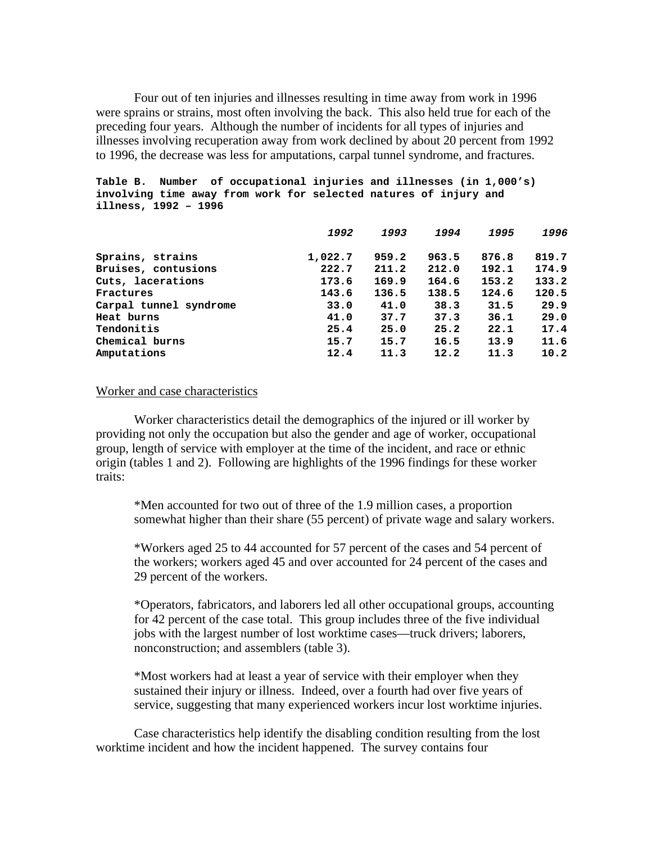Four out of ten injuries and illnesses resulting in time away from work in 1996 were sprains or strains, most often involving the back. This also held true for each of the preceding four years. Although the number of incidents for all types of injuries and illnesses involving recuperation away from work declined by about 20 percent from 1992 to 1996, the decrease was less for amputations, carpal tunnel syndrome, and fractures.

### **Table B. Number of occupational injuries and illnesses (in 1,000's) involving time away from work for selected natures of injury and illness, 1992 – 1996**

| 1992    | 1993  | 1994  | 1995  | 1996  |
|---------|-------|-------|-------|-------|
| 1,022.7 | 959.2 | 963.5 | 876.8 | 819.7 |
| 222.7   | 211.2 | 212.0 | 192.1 | 174.9 |
| 173.6   | 169.9 | 164.6 | 153.2 | 133.2 |
| 143.6   | 136.5 | 138.5 | 124.6 | 120.5 |
| 33.0    | 41.0  | 38.3  | 31.5  | 29.9  |
| 41.0    | 37.7  | 37.3  | 36.1  | 29.0  |
| 25.4    | 25.0  | 25.2  | 22.1  | 17.4  |
| 15.7    | 15.7  | 16.5  | 13.9  | 11.6  |
| 12.4    | 11.3  | 12.2  | 11.3  | 10.2  |
|         |       |       |       |       |

#### Worker and case characteristics

Worker characteristics detail the demographics of the injured or ill worker by providing not only the occupation but also the gender and age of worker, occupational group, length of service with employer at the time of the incident, and race or ethnic origin (tables 1 and 2). Following are highlights of the 1996 findings for these worker traits:

\*Men accounted for two out of three of the 1.9 million cases, a proportion somewhat higher than their share (55 percent) of private wage and salary workers.

\*Workers aged 25 to 44 accounted for 57 percent of the cases and 54 percent of the workers; workers aged 45 and over accounted for 24 percent of the cases and 29 percent of the workers.

\*Operators, fabricators, and laborers led all other occupational groups, accounting for 42 percent of the case total. This group includes three of the five individual jobs with the largest number of lost worktime cases—truck drivers; laborers, nonconstruction; and assemblers (table 3).

\*Most workers had at least a year of service with their employer when they sustained their injury or illness. Indeed, over a fourth had over five years of service, suggesting that many experienced workers incur lost worktime injuries.

Case characteristics help identify the disabling condition resulting from the lost worktime incident and how the incident happened. The survey contains four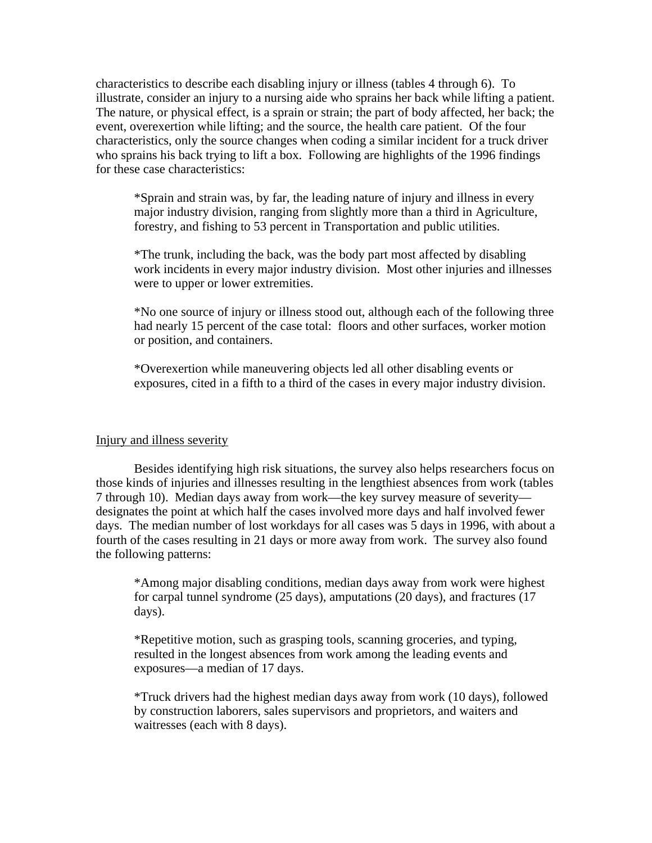characteristics to describe each disabling injury or illness (tables 4 through 6). To illustrate, consider an injury to a nursing aide who sprains her back while lifting a patient. The nature, or physical effect, is a sprain or strain; the part of body affected, her back; the event, overexertion while lifting; and the source, the health care patient. Of the four characteristics, only the source changes when coding a similar incident for a truck driver who sprains his back trying to lift a box. Following are highlights of the 1996 findings for these case characteristics:

\*Sprain and strain was, by far, the leading nature of injury and illness in every major industry division, ranging from slightly more than a third in Agriculture, forestry, and fishing to 53 percent in Transportation and public utilities.

\*The trunk, including the back, was the body part most affected by disabling work incidents in every major industry division. Most other injuries and illnesses were to upper or lower extremities.

\*No one source of injury or illness stood out, although each of the following three had nearly 15 percent of the case total: floors and other surfaces, worker motion or position, and containers.

\*Overexertion while maneuvering objects led all other disabling events or exposures, cited in a fifth to a third of the cases in every major industry division.

## Injury and illness severity

Besides identifying high risk situations, the survey also helps researchers focus on those kinds of injuries and illnesses resulting in the lengthiest absences from work (tables 7 through 10). Median days away from work—the key survey measure of severity designates the point at which half the cases involved more days and half involved fewer days. The median number of lost workdays for all cases was 5 days in 1996, with about a fourth of the cases resulting in 21 days or more away from work. The survey also found the following patterns:

\*Among major disabling conditions, median days away from work were highest for carpal tunnel syndrome (25 days), amputations (20 days), and fractures (17 days).

\*Repetitive motion, such as grasping tools, scanning groceries, and typing, resulted in the longest absences from work among the leading events and exposures—a median of 17 days.

\*Truck drivers had the highest median days away from work (10 days), followed by construction laborers, sales supervisors and proprietors, and waiters and waitresses (each with 8 days).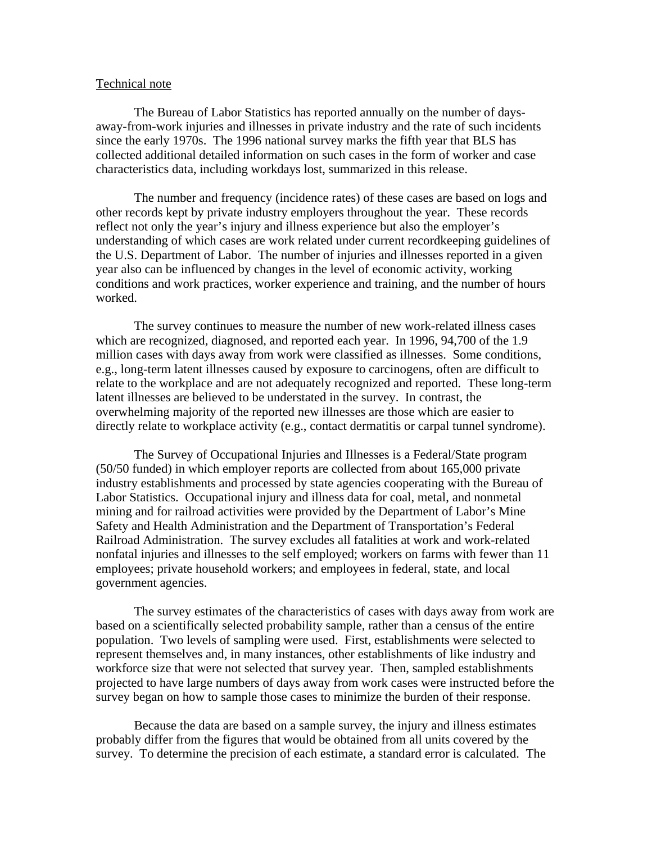#### Technical note

The Bureau of Labor Statistics has reported annually on the number of daysaway-from-work injuries and illnesses in private industry and the rate of such incidents since the early 1970s. The 1996 national survey marks the fifth year that BLS has collected additional detailed information on such cases in the form of worker and case characteristics data, including workdays lost, summarized in this release.

The number and frequency (incidence rates) of these cases are based on logs and other records kept by private industry employers throughout the year. These records reflect not only the year's injury and illness experience but also the employer's understanding of which cases are work related under current recordkeeping guidelines of the U.S. Department of Labor. The number of injuries and illnesses reported in a given year also can be influenced by changes in the level of economic activity, working conditions and work practices, worker experience and training, and the number of hours worked.

The survey continues to measure the number of new work-related illness cases which are recognized, diagnosed, and reported each year. In 1996, 94,700 of the 1.9 million cases with days away from work were classified as illnesses. Some conditions, e.g., long-term latent illnesses caused by exposure to carcinogens, often are difficult to relate to the workplace and are not adequately recognized and reported. These long-term latent illnesses are believed to be understated in the survey. In contrast, the overwhelming majority of the reported new illnesses are those which are easier to directly relate to workplace activity (e.g., contact dermatitis or carpal tunnel syndrome).

The Survey of Occupational Injuries and Illnesses is a Federal/State program (50/50 funded) in which employer reports are collected from about 165,000 private industry establishments and processed by state agencies cooperating with the Bureau of Labor Statistics. Occupational injury and illness data for coal, metal, and nonmetal mining and for railroad activities were provided by the Department of Labor's Mine Safety and Health Administration and the Department of Transportation's Federal Railroad Administration. The survey excludes all fatalities at work and work-related nonfatal injuries and illnesses to the self employed; workers on farms with fewer than 11 employees; private household workers; and employees in federal, state, and local government agencies.

The survey estimates of the characteristics of cases with days away from work are based on a scientifically selected probability sample, rather than a census of the entire population. Two levels of sampling were used. First, establishments were selected to represent themselves and, in many instances, other establishments of like industry and workforce size that were not selected that survey year. Then, sampled establishments projected to have large numbers of days away from work cases were instructed before the survey began on how to sample those cases to minimize the burden of their response.

Because the data are based on a sample survey, the injury and illness estimates probably differ from the figures that would be obtained from all units covered by the survey. To determine the precision of each estimate, a standard error is calculated. The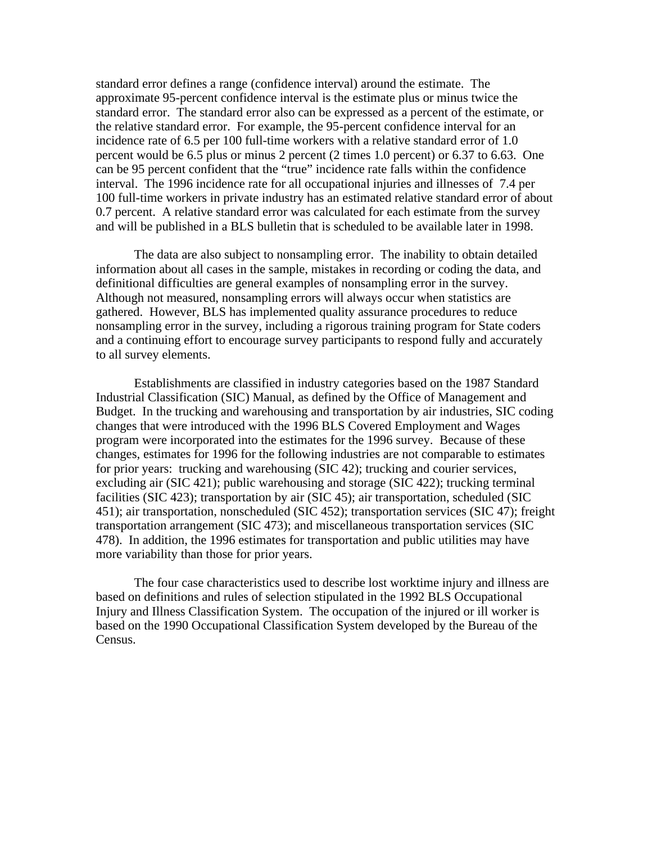standard error defines a range (confidence interval) around the estimate. The approximate 95-percent confidence interval is the estimate plus or minus twice the standard error. The standard error also can be expressed as a percent of the estimate, or the relative standard error. For example, the 95-percent confidence interval for an incidence rate of 6.5 per 100 full-time workers with a relative standard error of 1.0 percent would be 6.5 plus or minus 2 percent (2 times 1.0 percent) or 6.37 to 6.63. One can be 95 percent confident that the "true" incidence rate falls within the confidence interval. The 1996 incidence rate for all occupational injuries and illnesses of 7.4 per 100 full-time workers in private industry has an estimated relative standard error of about 0.7 percent. A relative standard error was calculated for each estimate from the survey and will be published in a BLS bulletin that is scheduled to be available later in 1998.

The data are also subject to nonsampling error. The inability to obtain detailed information about all cases in the sample, mistakes in recording or coding the data, and definitional difficulties are general examples of nonsampling error in the survey. Although not measured, nonsampling errors will always occur when statistics are gathered. However, BLS has implemented quality assurance procedures to reduce nonsampling error in the survey, including a rigorous training program for State coders and a continuing effort to encourage survey participants to respond fully and accurately to all survey elements.

Establishments are classified in industry categories based on the 1987 Standard Industrial Classification (SIC) Manual, as defined by the Office of Management and Budget. In the trucking and warehousing and transportation by air industries, SIC coding changes that were introduced with the 1996 BLS Covered Employment and Wages program were incorporated into the estimates for the 1996 survey. Because of these changes, estimates for 1996 for the following industries are not comparable to estimates for prior years: trucking and warehousing (SIC 42); trucking and courier services, excluding air (SIC 421); public warehousing and storage (SIC 422); trucking terminal facilities (SIC 423); transportation by air (SIC 45); air transportation, scheduled (SIC 451); air transportation, nonscheduled (SIC 452); transportation services (SIC 47); freight transportation arrangement (SIC 473); and miscellaneous transportation services (SIC 478). In addition, the 1996 estimates for transportation and public utilities may have more variability than those for prior years.

The four case characteristics used to describe lost worktime injury and illness are based on definitions and rules of selection stipulated in the 1992 BLS Occupational Injury and Illness Classification System. The occupation of the injured or ill worker is based on the 1990 Occupational Classification System developed by the Bureau of the Census.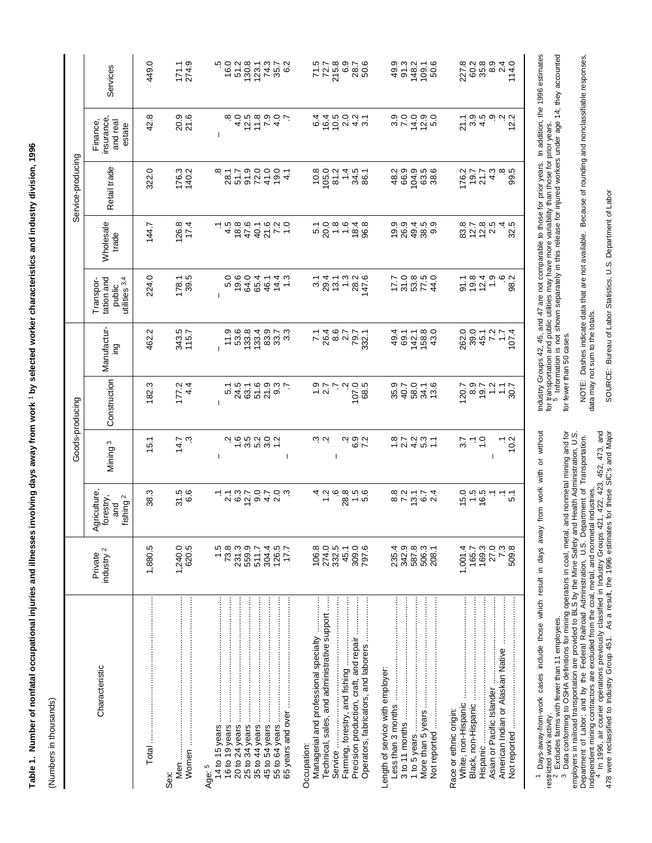|                                                                                                                                                 |                                                   |                                                          |                                                                      | Goods-producing                                   |                                         |                                                    |                                                                                 | Service-producing                              |                                                                                                                                                                                                                                                                                  |                                                 |
|-------------------------------------------------------------------------------------------------------------------------------------------------|---------------------------------------------------|----------------------------------------------------------|----------------------------------------------------------------------|---------------------------------------------------|-----------------------------------------|----------------------------------------------------|---------------------------------------------------------------------------------|------------------------------------------------|----------------------------------------------------------------------------------------------------------------------------------------------------------------------------------------------------------------------------------------------------------------------------------|-------------------------------------------------|
| Characteristic                                                                                                                                  | industry <sup>2</sup><br>Private                  | Agriculture,<br>forestry,<br>fishing <sup>2</sup><br>and | Mining <sup>3</sup>                                                  | Construction                                      | Manufactur-<br>ing                      | tation and<br>utilities 3,4<br>Transpor-<br>public | Wholesale<br>trade                                                              | Retail trade                                   | insurance<br>Finance,<br>and real<br>estate                                                                                                                                                                                                                                      | Services                                        |
|                                                                                                                                                 | 1,880.5                                           | 38.3                                                     | 15.1                                                                 | 182.3                                             | 462.2                                   | 224.0                                              | 144.7                                                                           | 322.0                                          | 42.8                                                                                                                                                                                                                                                                             | 449.0                                           |
| Sex:                                                                                                                                            | 620.5<br>1,240.0                                  | 31.5<br>6.6                                              | 14.7<br>Ċ.                                                           | 177.2<br>$\frac{4}{4}$                            | 343.5<br>115.7                          | $178.1$<br>39.5                                    | 126.8<br>17.4                                                                   | 176.3<br>140.2                                 | 20.9<br>21.6                                                                                                                                                                                                                                                                     | $171.1$<br>$274.9$                              |
| Age: 5                                                                                                                                          |                                                   |                                                          | -1                                                                   |                                                   |                                         |                                                    |                                                                                 |                                                |                                                                                                                                                                                                                                                                                  |                                                 |
|                                                                                                                                                 | $-73.8$                                           |                                                          |                                                                      | $\overline{5}$ 1                                  | 11.9                                    |                                                    |                                                                                 | $rac{8}{28.1}$                                 |                                                                                                                                                                                                                                                                                  | 5<br>0.91                                       |
|                                                                                                                                                 | 559.9<br>231.3                                    |                                                          |                                                                      | 24.5<br>63.1                                      | 53.6<br>133.8                           | 0.6041<br>0.6046<br>0.604                          | $4800$<br>$4700$                                                                | 5<br>225<br>229                                |                                                                                                                                                                                                                                                                                  | 51.2                                            |
|                                                                                                                                                 | 511.7                                             |                                                          |                                                                      |                                                   | 133.4                                   |                                                    |                                                                                 |                                                |                                                                                                                                                                                                                                                                                  | $130.8$<br>$123.1$<br>$74.3$                    |
|                                                                                                                                                 | 304.4<br>126.5                                    | r r w b a d a<br>L r w b a r o                           | $\begin{array}{c}\n 0.7600 \\  0.76000 \\  -0.7600\n \end{array}$    | 520<br>650                                        | 83.9<br>33.7                            | 14.3                                               | $40.1$<br>$77.0$<br>$77.0$                                                      | $19.0$<br>4.1                                  | $\ddot{q}$ $\ddot{q}$ $\ddot{q}$ $\ddot{q}$ $\ddot{q}$ $\ddot{q}$ $\ddot{q}$ $\ddot{q}$ $\ddot{q}$ $\ddot{q}$ $\ddot{q}$ $\ddot{q}$ $\ddot{q}$ $\ddot{q}$ $\ddot{q}$ $\ddot{q}$ $\ddot{q}$ $\ddot{q}$ $\ddot{q}$ $\ddot{q}$ $\ddot{q}$ $\ddot{q}$ $\ddot{q}$ $\ddot{q}$ $\ddot{$ | 35.7                                            |
|                                                                                                                                                 | 17.7                                              |                                                          | -1                                                                   |                                                   | $3.\overline{3}$                        |                                                    |                                                                                 |                                                |                                                                                                                                                                                                                                                                                  | 6.2                                             |
| Technical, sales, and administrative support<br>Precision production, craft, and repair<br>Managerial and professional specialty<br>Occupation: | 106.8<br>274.0<br>332.5<br>309.0<br>45.1<br>797.6 | يو د<br>خدمت د<br>$\frac{1}{2}$<br>5<br>5                | نې ن<br>$\begin{array}{c}\n 20 \\  -20 \\  -20 \\  \end{array}$<br>I | 107.0<br>68.5<br>$\dot{v}$ is<br>$\frac{1}{2}$ .7 | 746777<br>2467777<br>746777             | $3000000000000000$ $3000000000$                    | $\begin{array}{c}\n 7.000 \\  -7.000 \\  -7.00\n \end{array}$<br>$18.4$<br>96.8 | $10.8$<br>105.0<br>1.4<br>34.5<br>86.1<br>81.2 | $660940$<br>$4400040$                                                                                                                                                                                                                                                            | 772.8<br>725.8<br>775.8<br>78.9<br>70.9         |
| Length of service with employer:                                                                                                                | 342.9<br>587.8<br>506.3<br>235.4<br>208.1         | 8.8<br>7.2<br>$7574$<br>$24$                             | $72797$<br>$72797$                                                   | 95.7<br>90.7<br>98.0<br>34.1<br>13.6              | 43.0<br>49.4<br>158.8<br>69.1<br>142.1  | $17.0800$<br>$7.0800$<br>$7.0800$                  | $19.9$<br>$26.9$<br>49.4<br>$38.5$<br>$9.9$                                     | $48.99$<br>$96.99$<br>$10.9$<br>63.6<br>38.    | s<br>cococo<br>sococo                                                                                                                                                                                                                                                            | 49.9<br>91.3<br>148.2<br>$109.1$<br>50.6        |
| Race or ethnic origin:<br>Not reported                                                                                                          | 169.3<br>27.0<br>509.8<br>1,001.4<br>165.7        | $6.960$<br>$-6.91$<br>بر<br>م                            | $\frac{1}{2}$<br>25<br>ہ ج<br>201                                    | $800777$<br>$90777$<br>120.7                      | 262.0<br>$394777$<br>$79777$<br>$79774$ | $25040$<br>$2040$<br>$-2040$<br>بہ به<br>98        | 80785<br>80785<br>32.5                                                          | 43<br>86<br>80<br>$\frac{176.2}{19.7}$         | $7.9.9.9.9.2$<br>$7.9.4.2$                                                                                                                                                                                                                                                       | 227.8<br>60.2<br>35.8<br>8.9<br>$74.0$<br>114.0 |

**Table 1. Number of nonfatal occupational injuries and illnesses involving days away from work** 1 **by selected worker characteristics and industry division, 1996**

Table 1. Number of nonfatal occupational injuries and illnesses involving days away from work 1 by selected worker characteristics and industry division, 1996

 $\overline{\phantom{a}}$ 

(Numbers in thousands)

(Numbers in thousands)

1 Days-away-from-work cases include those which result in days away from work with or without Days-away-from-work cases include those which result in days away from work with or without restricted work activity.

Excludes farms with fewer than 11 employees.

restricted work activity.<br><sup>2</sup> Excludes farms with fewer than 11 employees.<br><sup>3</sup> Data conforming to OSHA definitions for mining operators in coal, metal, and nonmetal mining and for

3 Data contorming to OSHA definitions for mining operators in coal, metal, and nonmetal mining and for<br>employers in railroad transportation are provided to BLS by the Mine Safety and Health Administration, U.S. employers in railroad transportation are provided to BLS by the Mine Safety and Health Administration, U.S. Department of Labor; and by the Federal Railroad Administration, U.S. Department of Transportation. Department of Labor; and by the Federal Railroad Administration, U.S. Department of Transportation.

Independent mining contractors are excluded from the coal, metal, and nonmetal industries.<br><sup>4</sup> In 1996, air courier operations previously classified in Industry Groups 421, 422, 423, 452, 473, and<br>478 were reclassified to Independent mining contractors are excluded from the coal, metal, and nonmetal industries.<br><sup>4</sup> In 1996, air courier operations previously classified in Industry Groups 421, 422, 423, 452, 473, and 478 were reclassified to Industry Group 451. As a result, the 1996 estimates for these SIC's and Major

NOTE: Dashes indicate data that are not available. Because of rounding and nonclassifiable responses, NOTE: Dashes indicate data that are not available. Because of rounding and nonclassifiable responses, for fewer than 50 cases. for fewer than 50 cases.

Industry Groups 42, 45, and 47 are not comparable to those for prior years. In addition, the 1996 estimates for transportation and public utilities may have more variability than those for prior years.<br><sup>5</sup> Information is not shown separately in this release for injured workers under age 14; they accounted

Industry Groups 42, 45, and 47 are not comparable to those for prior years. In addition, the 1996 estimates<br>for transportation and public utilities may have more variability than those for prior years.<br>5 Information is not

data may not sum to the totals. data may not sum to the totals.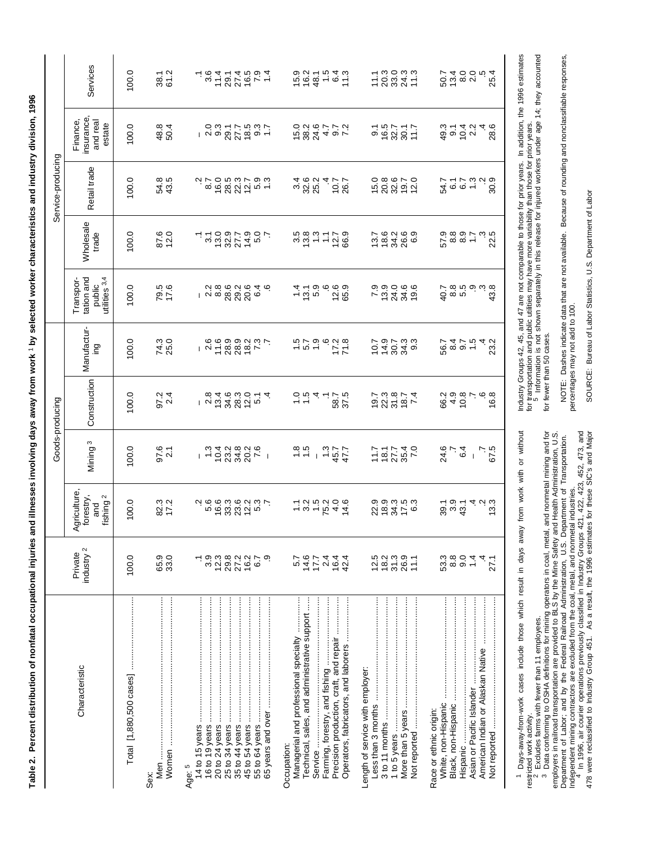| י<br>י              |
|---------------------|
|                     |
|                     |
|                     |
| <br> <br> <br> <br> |
|                     |
|                     |
|                     |
| ١                   |
|                     |
|                     |
|                     |
|                     |
|                     |
| l                   |
| l                   |
|                     |
|                     |
|                     |
|                     |
|                     |
|                     |
|                     |
|                     |
|                     |
|                     |
|                     |
| $\frac{2}{3}$       |
|                     |
|                     |
|                     |
|                     |
|                     |
|                     |
|                     |
|                     |
|                     |
|                     |
|                     |
|                     |

96

|                                                                                                                                                                                                    |                                                 |                                                                      |                                                                  | Goods-producing                                                                                                                                                                                                                                                                                                     |                                                                             |                                                    |                                                                                                                                                              | Service-producing                         |                                                      |                                                                                                                                                                                                                                                                                                                                 |
|----------------------------------------------------------------------------------------------------------------------------------------------------------------------------------------------------|-------------------------------------------------|----------------------------------------------------------------------|------------------------------------------------------------------|---------------------------------------------------------------------------------------------------------------------------------------------------------------------------------------------------------------------------------------------------------------------------------------------------------------------|-----------------------------------------------------------------------------|----------------------------------------------------|--------------------------------------------------------------------------------------------------------------------------------------------------------------|-------------------------------------------|------------------------------------------------------|---------------------------------------------------------------------------------------------------------------------------------------------------------------------------------------------------------------------------------------------------------------------------------------------------------------------------------|
| Characteristic                                                                                                                                                                                     | industry <sup>2</sup><br>Private                | griculture,<br>forestry,<br>$\mathbf{\Omega}$<br>fishing<br>and<br>⋖ | S<br>Mining <sup>:</sup>                                         | Construction                                                                                                                                                                                                                                                                                                        | Manufactur-<br>ing                                                          | tation and<br>public<br>utilities 3.4<br>Transpor- | Wholesale<br>trade                                                                                                                                           | Retail trade                              | insurance<br>and real<br>Finance,<br>estate          | Services                                                                                                                                                                                                                                                                                                                        |
|                                                                                                                                                                                                    | 100.0                                           | 100.0                                                                | 100.0                                                            | 100.0                                                                                                                                                                                                                                                                                                               | 100.0                                                                       | 100.0                                              | 100.0                                                                                                                                                        | 100.0                                     | 100.0                                                | 100.0                                                                                                                                                                                                                                                                                                                           |
| Sex:                                                                                                                                                                                               | 33.0<br>65.9                                    | 82.3<br>17.2                                                         | 97.6                                                             | $97.2$<br>2.4                                                                                                                                                                                                                                                                                                       | 74.3<br>25.0                                                                | 79.5<br>17.6                                       | 87.6<br>12.0                                                                                                                                                 | 54.8<br>43.5                              | 48.8<br>50.4                                         | 38.1<br>61.2                                                                                                                                                                                                                                                                                                                    |
| 35 to 44 years<br>45 to 54 years<br>25 to 34 years<br>Age: 5                                                                                                                                       | 29.2<br>27.2<br>16.2<br>3.9<br>12.3<br>တ္<br>67 | こうのとのことです。<br>このということから、このことのことのことのことから、                             | $1 - 52289$<br>$1 - 52289$                                       | $\frac{1}{2}$ $\frac{2}{3}$ $\frac{2}{3}$ $\frac{2}{3}$ $\frac{2}{3}$ $\frac{2}{3}$ $\frac{2}{3}$ $\frac{2}{3}$ $\frac{2}{3}$ $\frac{2}{3}$ $\frac{2}{3}$ $\frac{2}{3}$ $\frac{2}{3}$ $\frac{2}{3}$ $\frac{2}{3}$ $\frac{2}{3}$ $\frac{2}{3}$ $\frac{2}{3}$ $\frac{2}{3}$ $\frac{2}{3}$ $\frac{2}{3}$ $\frac{2}{3}$ | $\begin{array}{c}\n 0.6000000 \\  - 0.6000000 \\  - 0.700000\n \end{array}$ |                                                    | - 12091901<br>- 12091901                                                                                                                                     |                                           |                                                      | $\begin{array}{c} 0 & 1 & 0 & 0 \\ 0 & 1 & 0 & 0 \\ 0 & 0 & 0 & 0 \\ 0 & 0 & 0 & 0 \\ 0 & 0 & 0 & 0 \\ 0 & 0 & 0 & 0 \\ 0 & 0 & 0 & 0 \\ 0 & 0 & 0 & 0 \\ 0 & 0 & 0 & 0 \\ 0 & 0 & 0 & 0 \\ 0 & 0 & 0 & 0 \\ 0 & 0 & 0 & 0 \\ 0 & 0 & 0 & 0 \\ 0 & 0 & 0 & 0 \\ 0 & 0 & 0 & 0 \\ 0 & 0 & 0 & 0 \\ 0 & 0 & 0 & 0 & 0 \\ 0 & 0 &$ |
| Precision production, craft, and repair<br>Managerial and professional specialty<br>Technical, sales, and administrative support<br>Operators, fabricators, and laborers<br>Service<br>Occupation: | $14.6$<br>17.7<br>2.4<br>16.4<br>5.7<br>42.4    | $7.850000$<br>$7.800000$                                             | $\frac{18}{6}$ + $\frac{1}{3}$ + $\frac{42}{6}$ + $\frac{42}{6}$ | $-2.82$<br>$-2.82$<br>$-2.82$                                                                                                                                                                                                                                                                                       | $75799978$<br>$77799978$                                                    | $4.796$<br>$4.796$<br>$12.6$<br>65.9               | 5<br>1983 - 1984<br>1984 - 19                                                                                                                                | 3252<br>3252<br>$70.7$<br>$70.7$<br>$4.7$ | 10000770<br>100007707                                | 10241615<br>10241615                                                                                                                                                                                                                                                                                                            |
| Length of service with employer:                                                                                                                                                                   | $12.5$<br>$18.2$<br>$31.3$<br>$26.9$<br>111     | 0003003<br>0003109                                                   | $7.7$<br>$7.7$<br>$7.7$<br>$7.7$<br>$7.7$<br>$7.0$<br>$7.7$      | 1921874<br>1921<br>1922                                                                                                                                                                                                                                                                                             | 020030<br>02030                                                             | 0.00060<br>7.01400                                 | 128286<br>12826                                                                                                                                              | 108670<br>108810                          | 9.1<br>16.5<br>9.27<br>9.71                          |                                                                                                                                                                                                                                                                                                                                 |
| Race or ethnic origin:<br>Hispanic                                                                                                                                                                 | 53.3<br>8.8<br>0.4<br>27.1                      | 99.1<br>99.19<br>99.19<br>ت<br>نام<br>نام                            | 24.6<br>7<br>$6^{+}$<br>5 z<br>4                                 | 6400000000<br>16.8                                                                                                                                                                                                                                                                                                  | 23.2                                                                        | စိုက် ပွဲ ထို<br>ထိုက် ပွဲ ထို<br>40.7             | 5<br>0<br>0<br>0<br>0<br>0<br>0<br>0<br>0<br>0<br>0<br>0<br>0<br>0<br>0<br>1<br>0<br>0<br>1<br>1<br>0<br>0<br>1<br>1<br>0<br>0<br>1<br>1<br>0<br>က္ ဟု<br>ର୍ | 54.7<br>$60 - 80$<br>$60 - 80$            | a<br>a<br>do <del>c</del><br>do ch<br>$4\frac{4}{8}$ | 81<br>2000 - 20<br>2000 - 20                                                                                                                                                                                                                                                                                                    |

1 Days-away-from-work cases include those which result in days away from work with or without Days-away-from-work cases include those which result in days away from work with or without

restricted work activity.<br><sup>2</sup> Excludes farms with fewer than 11 employees.<br><sup>3</sup> Data conforming to OSHA definitions for mining operators in coal, metal, and nonmetal mining and for<br>employers in railroad transportation are p restricted work activity.<br><sup>2</sup> Excludes farms with fewer than 11 employees.<br><sup>3</sup> Data conforming to OSHA definitions for mining operators in coal, metal, and nonmetal mining and for employers in railroad transportation are provided to BLS by the Mine Safety and Health Administration, U.S. Department of Labor; and by the Federal Railroad Administration, U.S. Department of Transportation.

Independent mining contractors are excluded from the coal, metal, and nonmetal industries.<br><sup>4</sup> In 1996, air courier operations previously classified in Industry Groups 421, 422, 423, 452, 473, and<br>478 were reclassified to Independent mining contractors are excluded from the coal, metal, and nonmetal industries.<br><sup>4</sup> In 1996, air courier operations previously classified in Industry Groups 421, 422, 423, 452, 473, and 478 were reclassified to Industry Group 451. As a result, the 1996 estimates for these SIC's and Major

Industry Groups 42, 45, and 47 are not comparable to those for prior years. In addition, the 1996 estimates<br>for transportation and public utilities may have more variability than those for prior years.<br><sup>5</sup> Information is n Industry Groups 42, 45, and 47 are not comparable to those for prior years. In addition, the 1996 estimates for transportation and public utilities may have more variability than those for prior years.<br><sup>5</sup> Information is not shown separately in this release for injured workers under age 14; they accounted

for fewer than 50 cases.

NOTE: Dashes indicate data that are not available. Because of rounding and nonclassifiable responses,<br>percentages may not add to 100. NOTE: Dashes indicate data that are not available. Because of rounding and nonclassifiable responses, percentages may not add to 100.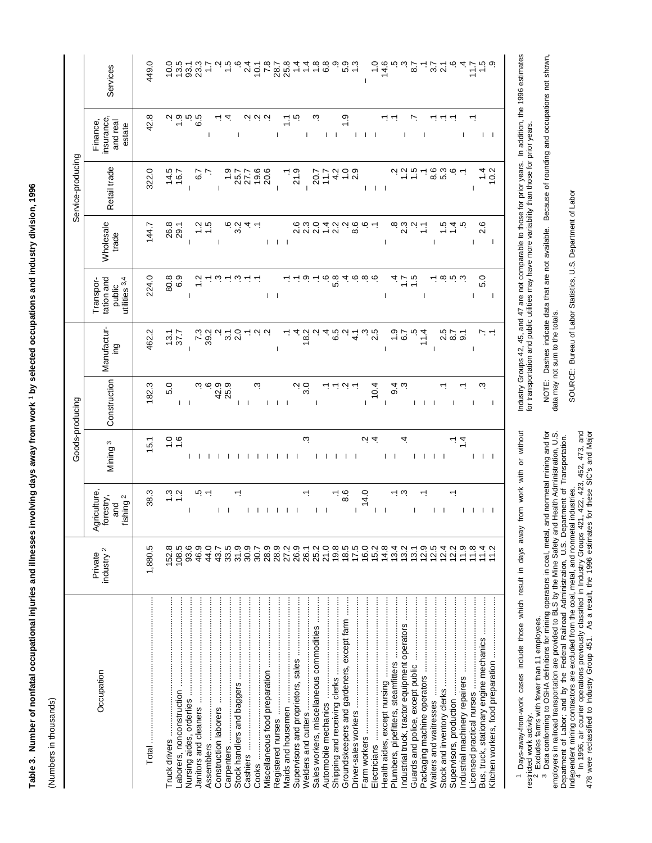| ì                                                                                            |
|----------------------------------------------------------------------------------------------|
|                                                                                              |
|                                                                                              |
|                                                                                              |
|                                                                                              |
| l                                                                                            |
|                                                                                              |
| Ĺ<br>֧֖֖֖֧ׅ֖֧֪֪ׅ֖֧ׅ֧֪ׅ֪֧֪֧֪֧֪ׅ֧֪֪֧֚֚֚֚֚֚֚֚֚֚֚֚֚֚֚֚֚֚֚֚֚֚֚֚֚֚֚֚֚֚֚֚֝֝֝֓֞֝֬֓֬֝֓֬֝֬֝֬֓֬֝֬֝֬֝֬֝֬ |
|                                                                                              |
|                                                                                              |
|                                                                                              |
| ה<br>המווי<br>֚֚֚֕֕֡<br>֠<br>l                                                               |
| ī                                                                                            |
| j<br>$\overline{a}$<br>ı<br>ĺ                                                                |
| ¢<br>ć<br>ì                                                                                  |

(Numbers in thousands) (Numbers in thousands)

|                                               |                                  |                                                          |                                             | Goods-producing                        |                                 |                                                                            |                                       | Service-producing              |                                             |                  |
|-----------------------------------------------|----------------------------------|----------------------------------------------------------|---------------------------------------------|----------------------------------------|---------------------------------|----------------------------------------------------------------------------|---------------------------------------|--------------------------------|---------------------------------------------|------------------|
| Occupation                                    | industry <sup>2</sup><br>Private | Agriculture,<br>fishing <sup>2</sup><br>forestry,<br>and | Mining <sup>3</sup>                         | Construction                           | Manufactur-<br>pui              | utilities 3,4<br>tation and<br>Transpor-<br>public                         | Wholesale<br>trade                    | Retail trade                   | insurance<br>Finance,<br>and real<br>estate | Services         |
|                                               | 1,880.5                          | 38.3                                                     | $\frac{1}{2}$                               | 182.3                                  | 462.2                           | 224.0                                                                      | 144.7                                 | 322.0                          | 42.8                                        | 449.             |
|                                               | 152.8                            |                                                          |                                             | 5.0                                    |                                 |                                                                            |                                       | 14.5                           |                                             |                  |
|                                               | 108.5                            | $\frac{1}{2}$ $\frac{1}{2}$                              | $\frac{0}{10}$                              | $1 - 1$                                | $\frac{13.7}{37.7}$             | 80.9<br>6.9                                                                | 26.8<br>29.1                          | 16.7                           | $\frac{1}{2}$                               | 13.5             |
|                                               | 93.6                             | T                                                        |                                             |                                        | $\overline{1}$                  | T                                                                          | $\mathbf{I}$                          | $\overline{1}$                 | ن<br>ن<br>ن ن                               | 93.3<br>23.3     |
|                                               | 46.9<br>44.0                     | ب ن                                                      | , , , , , , , , , , , , ,                   | 525<br>625<br>825                      | $7.3$<br>39.2                   | $\ddot{ }$                                                                 |                                       | $\overline{6}$                 | $\mathbf{I}$                                |                  |
|                                               | 43.7                             | L                                                        |                                             |                                        | $\mathbf{\Omega}$               | $ \omega - \omega - -$                                                     | $\mathbf{I}$                          | $\mathbf{I}$                   |                                             |                  |
|                                               | 33.5                             |                                                          |                                             |                                        |                                 |                                                                            |                                       | $\frac{0}{1}$                  | نه ن                                        |                  |
|                                               | 31.9                             |                                                          |                                             |                                        | $\frac{1}{3}$ 0                 |                                                                            | ب<br>8<br>8                           | 25.7                           | J.                                          |                  |
| Cashiers ………………………………………………………                | 30.9                             | L                                                        |                                             | $\vert \ \ \vert$                      |                                 |                                                                            |                                       | 27.7                           |                                             | $\frac{4}{2}$    |
|                                               | 30.7                             |                                                          |                                             | ω.                                     |                                 |                                                                            |                                       | 19.6                           | 9 9 9                                       | $10.1$<br>7.8    |
|                                               |                                  | -1                                                       |                                             | $\mathbf{I}$                           |                                 | $\vert \ \vert$                                                            |                                       | 20.6                           |                                             |                  |
|                                               | 0, 0, 0,<br>20, 20<br>20, 20     | Т.                                                       |                                             | $\mathbf{I}$                           | J.                              |                                                                            | $1 + 1 + 1$                           | $\overline{\phantom{a}}$       | I                                           | 28.7<br>25.8     |
|                                               |                                  | $\perp$                                                  |                                             |                                        |                                 | $- - 0 -$                                                                  |                                       |                                | $\tilde{L}$ is                              |                  |
|                                               | 26.9                             |                                                          |                                             | Ņ                                      | $rac{4}{6}$<br>$rac{6}{5}$      |                                                                            | 0. 0<br>2. 3                          | 21.9                           |                                             |                  |
|                                               | 26.1<br>25.2                     |                                                          | c.                                          | 3.0                                    |                                 |                                                                            |                                       | $\mathbf{I}$                   |                                             |                  |
| Sales workers, miscellaneous commodities      |                                  | $\vert \ \ \vert$                                        |                                             |                                        |                                 |                                                                            | 2.0                                   | 20.7                           | ω.                                          | $\frac{8}{1}$    |
|                                               | 21.0                             |                                                          | 1 1 1 1 1                                   |                                        | 4.00<br>4.00                    |                                                                            | 1.4                                   | 117                            | $\mathbf{I}$                                | ဇ. ၀<br>ပ        |
|                                               | $19.8$<br>$18.5$                 |                                                          |                                             | $\angle$ $\angle$ $\angle$ of $\angle$ |                                 |                                                                            | 2.2                                   | 4.2                            | $\mathsf I$                                 |                  |
| Groundskeepers and gardeners, except farm     |                                  | 8.6                                                      |                                             |                                        |                                 |                                                                            |                                       | $\frac{0}{1}$<br>$\frac{0}{2}$ | $\frac{5}{1}$                               | თო<br>ს 1<br>ს 1 |
|                                               | 17.5                             | $\mathbf{I}$                                             |                                             |                                        | $\frac{1}{4}$                   | $\ddot{\circ}$ $\ddot{\circ}$ $\ddot{\circ}$ $\ddot{\circ}$ $\ddot{\circ}$ | 8.6                                   |                                | L                                           |                  |
|                                               | 16.0                             | 14.0                                                     | $\overline{a}$                              | $\mathsf{I}$                           |                                 |                                                                            |                                       |                                | $\mathbf{I}$                                | $\mathbf{I}$     |
|                                               | 15.2                             | T                                                        |                                             | 10.4                                   | 2.5                             |                                                                            |                                       | $1 - 1 - 1$                    | - 1                                         |                  |
|                                               | 14.8                             | J.                                                       | $1 - 1$                                     | $\mathbf{I}$                           | $\mathbf{I}$                    | J.                                                                         | $\begin{array}{c} \hline \end{array}$ |                                | ب ب                                         | $4.6$<br>$6.9$   |
|                                               | 13.4                             | ن -ـ                                                     |                                             | 9.4                                    | $\frac{6}{6}$                   |                                                                            |                                       |                                |                                             |                  |
| Industrial truck, tractor equipment operators | 13.2                             |                                                          | 4                                           |                                        |                                 | $\frac{1}{4} - \frac{1}{10}$                                               | 23                                    |                                | I                                           |                  |
|                                               | 13.1                             | T                                                        |                                             |                                        |                                 |                                                                            |                                       |                                | r.                                          | 8.7              |
|                                               | 12.9                             |                                                          | 1 1 1 1                                     | $1 \pm 1$                              | 11.4                            | $\overline{\phantom{a}}$                                                   |                                       |                                | $\mathbf{I}$                                |                  |
|                                               | 12.5                             | $\mathbf{L}$                                             |                                             |                                        | $\overline{\phantom{a}}$        |                                                                            | $\mathbf{I}$                          | (၀<br>(၁)<br>(၁)               | ↽.                                          | $\frac{7}{21}$   |
|                                               | 12.4                             | $\mathbf{I}$                                             |                                             |                                        |                                 | $ \omega$ $\omega$ $\omega$                                                |                                       |                                | برند                                        |                  |
|                                               | 12.2                             |                                                          |                                             | T                                      | 5<br>2<br>2<br>3<br>3<br>3<br>3 |                                                                            |                                       |                                |                                             |                  |
|                                               | 1.9                              | $\mathbf{I}$                                             | $1\overline{4}$                             |                                        |                                 |                                                                            |                                       |                                | J.                                          |                  |
|                                               | 1.8                              |                                                          |                                             | $\mathbf{I}$                           | $\mathbf{I}$                    | T                                                                          | T                                     | $\mathbf{I}$                   |                                             |                  |
| Bus, truck, stationary engine mechanics       |                                  | $\mathbf{I}$                                             | $\begin{array}{ccc} & & & & \\ \end{array}$ | ω.                                     |                                 | 5.0                                                                        | 2.6                                   |                                | $\mathbf{I}$                                |                  |
|                                               |                                  | - 1                                                      |                                             | -1                                     |                                 | J.                                                                         | -1                                    | 10.2                           |                                             |                  |
|                                               |                                  |                                                          |                                             |                                        |                                 |                                                                            |                                       |                                |                                             |                  |

<sup>1</sup> Days-away-from-work cases include those which result in days away from work with or without Days-away-from-work cases include those which result in days away from work with or without

restricted work activity.<br>
2 Excludes farms with fewer than 11 employees.<br>
3 Data conforming to OSHA definitions for mining operators in coal, metal, and nonmetal mining and for<br>
employers in railroad transportation are pr restricted work activity.<br><sup>2</sup> Excludes farms with fewer than 11 employees.<br><sup>3</sup> Data conforming to OSHA definitions for mining operators in coal, metal, and nonmetal mining and for employers in railroad transportation are provided to BLS by the Mine Safety and Health Administration, U.S. Department of Labor; and by the Federal Railroad Administration, U.S. Department of Transportation.

Independent mining contractors are excluded from the coal, metal, and nonmetal industries.<br><sup>4</sup> In 1996, air courier operations previously classified in Industry Groups 421, 422, 423, 452, 473, and 478 were reclassified to Industry Group 451. As a result, the 1996 estimates for these SIC's and Major

Industry Groups 42, 45, and 47 are not comparable to those for prior years. In addition, the 1996 estimates<br>for transportation and public utilities may have more variability than those for prior years. Industry Groups 42, 45, and 47 are not comparable to those for prior years. In addition, the 1996 estimates for transportation and public utilities may have more variability than those for prior years.

NOTE: Dashes indicate data that are not available. Because of rounding and occupations not shown,<br>data may not sum to the totals. NOTE: Dashes indicate data that are not available. Because of rounding and occupations not shown, data may not sum to the totals.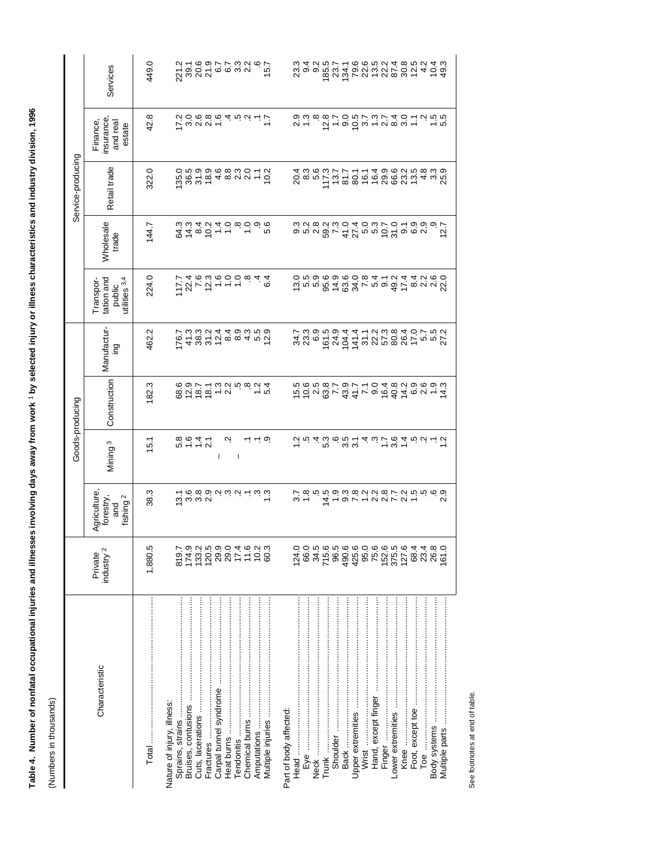|                   | Services                                                           | 449.0   |                                                |                                                                                                                                                                                                                                                                                                                                                                                                                                                                                                                 |           |   |   |              |                    |                   |                        |                  | ಣ <del>4</del> 2<br>೧೧ ರ ೧ |     |                                                                                                            |                        |  |       |                     |  |       |                  |                                                                     |              |       |
|-------------------|--------------------------------------------------------------------|---------|------------------------------------------------|-----------------------------------------------------------------------------------------------------------------------------------------------------------------------------------------------------------------------------------------------------------------------------------------------------------------------------------------------------------------------------------------------------------------------------------------------------------------------------------------------------------------|-----------|---|---|--------------|--------------------|-------------------|------------------------|------------------|----------------------------|-----|------------------------------------------------------------------------------------------------------------|------------------------|--|-------|---------------------|--|-------|------------------|---------------------------------------------------------------------|--------------|-------|
|                   | insurance<br>Finance,<br>and real<br>estate                        | 42.8    |                                                | いこの86452-1<br>いこの86452-1                                                                                                                                                                                                                                                                                                                                                                                                                                                                                        |           |   |   |              |                    |                   |                        | 0<br>0<br>0<br>1 |                            |     | 12.8                                                                                                       | $\frac{2}{7}$          |  |       |                     |  |       |                  | $\begin{array}{c}\n\alpha & \alpha \\ \alpha & \alpha\n\end{array}$ |              |       |
| Service-producing | Retail trade                                                       | 322.0   |                                                |                                                                                                                                                                                                                                                                                                                                                                                                                                                                                                                 |           |   |   |              |                    |                   |                        |                  | က<br>၁ စက်<br>၁ စက်        |     | 117.3                                                                                                      |                        |  |       |                     |  |       |                  |                                                                     |              |       |
|                   | Wholesale<br>trade                                                 | 144.7   |                                                | $\begin{array}{ccc}\n\mathfrak{D}\mathrel{\dot{\mathcal{L}}}\n\mathrel{\dot{\mathcal{L}}}\n\mathrel{\dot{\mathcal{L}}}\n\mathrel{\dot{\mathcal{L}}}\n\mathrel{\dot{\mathcal{L}}}\n\mathrel{\dot{\mathcal{L}}}\n\mathrel{\dot{\mathcal{L}}}\n\mathrel{\dot{\mathcal{L}}}\n\mathrel{\dot{\mathcal{L}}}\n\mathrel{\dot{\mathcal{L}}}\n\mathrel{\dot{\mathcal{L}}}\n\mathrel{\dot{\mathcal{L}}}\n\mathrel{\dot{\mathcal{L}}}\n\mathrel{\dot{\mathcal{L}}}\n\mathrel{\dot{\mathcal{L}}}\n\mathrel{\dot{\mathcal{L}}$ |           |   |   |              |                    |                   |                        |                  |                            |     | o ra v w c 4 0 r n r 6 2 9 0 0 0<br>o r v 8 v 4 0 r 0 0 6 2 9 0 0 0 1<br>o v 8 0 1 0 4 0 0 1 0 4 0 0 0 0 1 |                        |  |       |                     |  |       |                  |                                                                     |              | 12.7  |
|                   | tation and<br>utilities 3,4<br>Transpor-<br>public                 | 224.0   |                                                | $77.7$<br>$77.76$ $9.99$<br>$77.76$<br>$77.76$<br>$77.76$<br>$77.76$<br>$77.76$<br>$77.76$                                                                                                                                                                                                                                                                                                                                                                                                                      |           |   |   |              |                    | 64                |                        |                  |                            |     | 12 ちょうはん マークリング 20 とうじょう 20 とりの 20 とりの 20 とうしょう 20 とうこう                                                    |                        |  |       |                     |  |       |                  |                                                                     |              |       |
|                   | Manufactur-<br>ing                                                 | 462.2   |                                                | $\overline{r}$ 4 $\stackrel{2}{\alpha}$ $\stackrel{2}{\alpha}$ $\stackrel{2}{\alpha}$ $\stackrel{2}{\alpha}$ $\stackrel{2}{\alpha}$ $\stackrel{2}{\alpha}$ $\stackrel{2}{\alpha}$ $\stackrel{2}{\alpha}$ $\stackrel{2}{\alpha}$ $\stackrel{2}{\alpha}$ $\stackrel{2}{\alpha}$ $\stackrel{2}{\alpha}$ $\stackrel{2}{\alpha}$ $\stackrel{2}{\alpha}$ $\stackrel{2}{\alpha}$ $\stackrel{2}{\alpha}$ $\stackrel{2}{\alpha}$ $\stackrel{2$                                                                           |           |   |   |              |                    |                   |                        | $34.7$<br>$23.3$ |                            | 6.9 |                                                                                                            |                        |  |       |                     |  |       |                  |                                                                     |              |       |
| Goods-producing   | Construction                                                       | 182.3   |                                                |                                                                                                                                                                                                                                                                                                                                                                                                                                                                                                                 |           |   |   |              |                    |                   |                        |                  |                            |     |                                                                                                            |                        |  |       |                     |  |       |                  |                                                                     |              |       |
|                   | Mining <sup>3</sup>                                                | 15.1    |                                                | 8<br>6 4 4 7<br>6 4 7 9                                                                                                                                                                                                                                                                                                                                                                                                                                                                                         |           | T | Ņ | $\mathbf{I}$ | $-$ ب $-$ ن        |                   |                        |                  |                            |     |                                                                                                            |                        |  |       |                     |  |       |                  |                                                                     |              |       |
|                   | <b>griculture</b><br>forestry,<br>fishing <sup>2</sup><br>and<br>٩ | 38.3    |                                                |                                                                                                                                                                                                                                                                                                                                                                                                                                                                                                                 |           |   |   |              |                    |                   |                        |                  |                            |     | car Alarianista di Santa<br>Vanjoonadianistaning                                                           |                        |  |       |                     |  |       |                  |                                                                     |              |       |
|                   | industry <sup>2</sup><br>Private                                   | 1,880.5 |                                                | 814202021<br>20202021<br>20202021                                                                                                                                                                                                                                                                                                                                                                                                                                                                               |           |   |   |              | $7.003$<br>$7.003$ |                   |                        | 124.0            | 66.0                       |     |                                                                                                            |                        |  |       |                     |  | 127.6 | 684              | 23.4<br>26.8                                                        |              | 0.161 |
|                   | Characteristic                                                     |         | Nature of injury, illness:<br>Sprains, strains | Cuts, lacerations<br>Bruises, contusions                                                                                                                                                                                                                                                                                                                                                                                                                                                                        | Fractures |   |   |              | Amputations        | Multiple injuries | Part of body affected: |                  | Eye ………………………………………………………  |     | Trunk                                                                                                      | Shoulder ………………………………… |  | Wrist | Hand, except finger |  | Knee  | Foot, except toe | Гое                                                                 | Body systems |       |

Table 4. Number of nonfatal occupational injuries and illnesses involving days away from work 1 by selected injury or illness characteristics and industry division, 1996 **Table 4. Number of nonfatal occupational injuries and illnesses involving days away from work** 1 **by selected injury or illness characteristics and industry division, 1996**

(Numbers in thousands) (Numbers in thousands)

J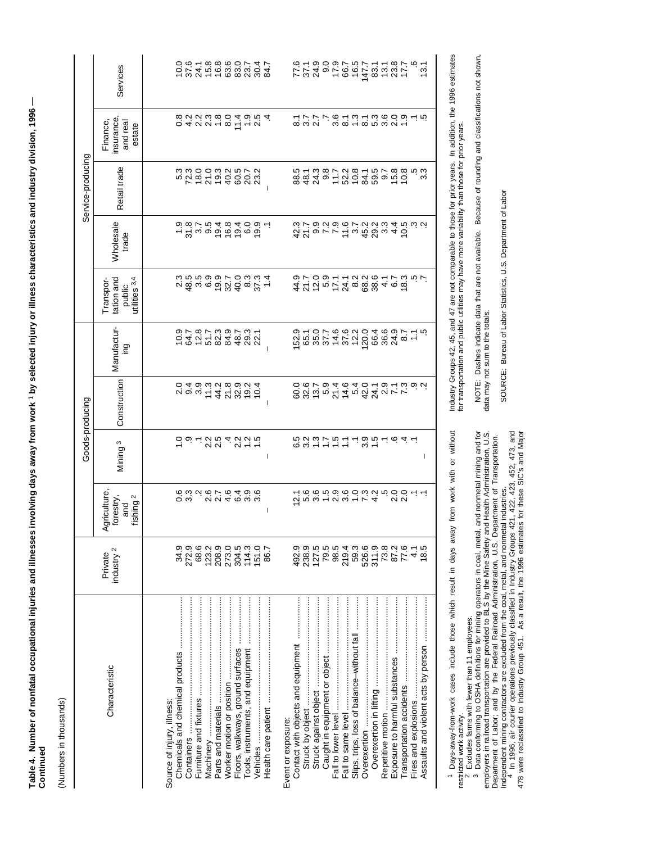| i                                                                                           |  |
|---------------------------------------------------------------------------------------------|--|
|                                                                                             |  |
|                                                                                             |  |
|                                                                                             |  |
| 2                                                                                           |  |
|                                                                                             |  |
|                                                                                             |  |
|                                                                                             |  |
| ֖֖֖֧ׅ֖֧֧ׅ֖֧֪ׅ֖֧֪ׅ֧֪ׅ֖֧֪ׅ֖֧֪ׅ֪֪֪֧֪ׅ֧֪ׅ֧֚֚֚֚֚֚֚֚֚֚֚֚֚֚֚֚֚֚֚֚֚֚֚֚֚֚֚֚֚֚֚֚֚֚֚֚֚֡֝֝֝֬֝֬֝֬֝֬<br>١ |  |
|                                                                                             |  |
|                                                                                             |  |
|                                                                                             |  |
| Í                                                                                           |  |
| j<br>?<br>:<br>;                                                                            |  |
|                                                                                             |  |
| $\overline{a}$                                                                              |  |
|                                                                                             |  |
| :<br>$\frac{1}{2}$                                                                          |  |
| i                                                                                           |  |
|                                                                                             |  |
| $\ddot{\phantom{a}}$<br>ٔ                                                                   |  |
| ï                                                                                           |  |
|                                                                                             |  |

(Numbers in thousands) (Numbers in thousands)

|                   | Services                                                 | 0.91.88900.41.<br>0.745688288<br>13.1                                                                                                                                                                                                                                                                                                                                                                                                                                                                                       |
|-------------------|----------------------------------------------------------|-----------------------------------------------------------------------------------------------------------------------------------------------------------------------------------------------------------------------------------------------------------------------------------------------------------------------------------------------------------------------------------------------------------------------------------------------------------------------------------------------------------------------------|
|                   | insurance<br>Finance,<br>and real<br>estate              | o 4 0 0 4 0 6 4 0 10 4<br>O 4 0 1 0 6 4 0 10 4                                                                                                                                                                                                                                                                                                                                                                                                                                                                              |
| Service-producing | Retail trade                                             |                                                                                                                                                                                                                                                                                                                                                                                                                                                                                                                             |
|                   | Wholesale<br>trade                                       | なり。ファイリおの。40cs インタントリングのよう。<br>$-20000000000$                                                                                                                                                                                                                                                                                                                                                                                                                                                                               |
|                   | tation and<br>utilities 3,4<br>Transpor-<br>public       | 424 n 524 a 884 a 874<br>จับวังนี้ 2 4 a 884 a 8                                                                                                                                                                                                                                                                                                                                                                                                                                                                            |
|                   | Manufactur-<br>ing                                       | 9787383482239534<br>$\begin{array}{l} \tilde{\alpha} = 0 \\ \tilde{\alpha} = 0 \\ \tilde{\alpha} = 0 \\ \tilde{\alpha} = 0 \\ \tilde{\alpha} = 0 \\ \tilde{\alpha} = 0 \\ \tilde{\alpha} = 0 \\ \tilde{\alpha} = 0 \\ \tilde{\alpha} = 0 \\ \tilde{\alpha} = 0 \\ \tilde{\alpha} = 0 \\ \tilde{\alpha} = 0 \\ \tilde{\alpha} = 0 \\ \tilde{\alpha} = 0 \\ \tilde{\alpha} = 0 \\ \tilde{\alpha} = 0 \\ \tilde{\alpha} = 0 \\ \tilde{\alpha} = 0 \\ \tilde{\alpha} = 0 \\ \tilde{\alpha} = 0 \\ \tilde{\alpha} = 0 \\ \tilde$ |
| Goods-producing   | Construction                                             | 249328924001 101000 1010 10 1 1 1 1 2 0 1 0<br>ののです。とは、これをスティックをつることは、このことは、これは、これをスト                                                                                                                                                                                                                                                                                                                                                                                                                                       |
|                   | Mining <sup>3</sup>                                      | cornwadding<br>Cornwadding<br>6 8 9 7 7 8 7 - 9 8 7 - 9 4 -<br>T<br>I                                                                                                                                                                                                                                                                                                                                                                                                                                                       |
|                   | Agriculture,<br>fishing <sup>2</sup><br>forestry,<br>and | ca androdo<br>co androdo<br>I                                                                                                                                                                                                                                                                                                                                                                                                                                                                                               |
|                   | industry <sup>2</sup><br>Private                         | 34.9<br>272.9<br>68.9<br>123.2<br>151.0<br>492.9<br>238.9<br>127.5<br>79.5<br>98.5<br>$219.88$<br>$79.877$<br>$79.877$<br>$79.87$<br>$79.8$<br>87.2<br>77.6<br>18.5<br>86.7<br>4.1                                                                                                                                                                                                                                                                                                                                          |
|                   | Characteristic                                           | Vehicles ………………………………………………………<br>Slips, trips, loss of balance-without fall<br>Worker motion or position<br>Machinery ………………………………<br>Floors, walkways, ground surfaces<br>Furniture and fixtures<br>Source of injury, illness:<br>Overexertion<br>Event or exposure:<br>Containers                                                                                                                                                                                                                                        |

1 Days-away-from-work cases include those which result in days away from work with or without Days-away-from-work cases include those which result in days away from work with or without

restricted work activity.<br>
<sup>2</sup> Excludes farms with fewer than 11 employees.<br>
<sup>3</sup> Data conforming to OSHA definitions for mining operators in coal, metal, and nonmetal mining and for<br>
employers in railroad transportation ar restricted work activity.<br><sup>2</sup> Excludes farms with fewer than 11 employees.<br><sup>3</sup> Data conforming to OSHA definitions for mining operators in coal, metal, and nonmetal mining and for employers in railroad transportation are provided to BLS by the Mine Safety and Health Administration, U.S. Department of Labor; and by the Federal Railroad Administration, U.S. Department of Transportation.

Independent mining contractors are excluded from the coal, metal, and nonmetal industries.<br><sup>4</sup> In 1996, air courier operations previously classified in Industry Groups 421, 422, 423, 452, 473, and 478 were reclassified to Industry Group 451. As a result, the 1996 estimates for these SIC's and Major

Industry Groups 42, 45, and 47 are not comparable to those for prior years. In addition, the 1996 estimates<br>for transportation and public utilities may have more variability than those for prior years. Industry Groups 42, 45, and 47 are not comparable to those for prior years. In addition, the 1996 estimates for transportation and public utilities may have more variability than those for prior years.

NOTE: Dashes indicate data that are not available. Because of rounding and classifications not shown,<br>data may not sum to the totals. NOTE: Dashes indicate data that are not available. Because of rounding and classifications not shown, data may not sum to the totals.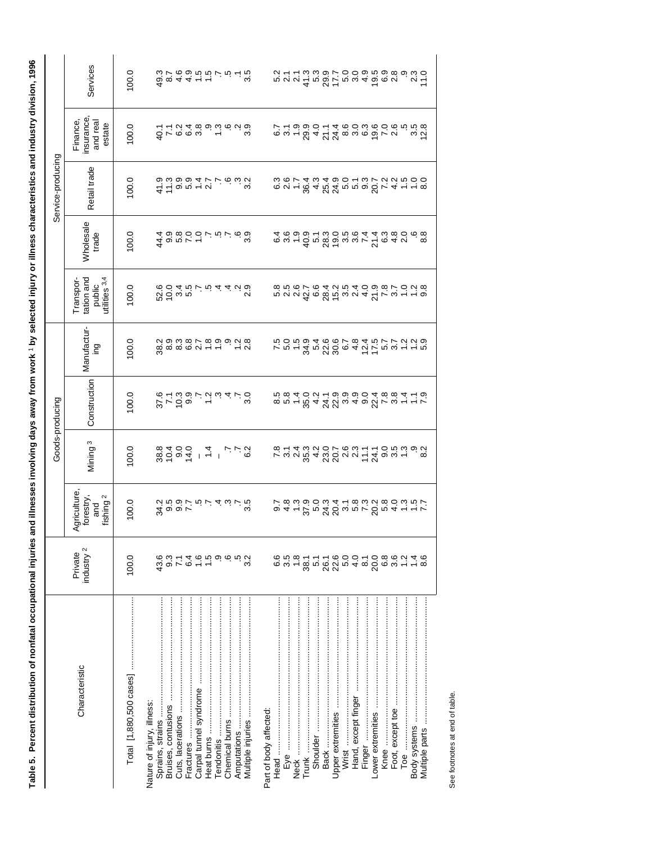| i                                                                                                  |
|----------------------------------------------------------------------------------------------------|
|                                                                                                    |
|                                                                                                    |
| ֦֧֦֧֦֧֦֧֦֧֦֧֦֧֦֧֦֧֦֧֦֧ׅ֖֖֖֖֖֖֖֧ׅ֧ׅ֧ׅׅ֧֧֪ׅ֧֪֪֪֪֪֪֪֪֪֪֪֪֪֪֪֪֪֪֪֚֚֚֚֚֚֚֚֚֚֚֚֚֚֚֚֚֚֚֚֚֚֚֚֚֚֚֜֓֜֓֬֝֓֞֓֞ |
|                                                                                                    |
|                                                                                                    |
|                                                                                                    |
| ì                                                                                                  |
|                                                                                                    |
|                                                                                                    |
|                                                                                                    |
| $\overline{a}$                                                                                     |
|                                                                                                    |
|                                                                                                    |
|                                                                                                    |
|                                                                                                    |
|                                                                                                    |
|                                                                                                    |
|                                                                                                    |
|                                                                                                    |
|                                                                                                    |
| i                                                                                                  |
| ֦֦֦֖֖֖֧֧֧ׅ֧ׅ֧֦֧ׅ֧֧ׅ֧ׅ֧ׅ֧ׅ֧ׅ֧ׅ֧ׅ֧֪ׅ֧֧֛֪ׅ֧֪ׅ֧֚֚֚֚֚֚֚֚֚֚֚֚֚֚֚֚֚֝֝֝֬֝֝֝֝֝֟֓֟֓֝֬֝֜֓֝֬֜֓֝֬֜֜֜֜֜֜֜֜       |
|                                                                                                    |
|                                                                                                    |
|                                                                                                    |
|                                                                                                    |
|                                                                                                    |
|                                                                                                    |
|                                                                                                    |
|                                                                                                    |
|                                                                                                    |
|                                                                                                    |
|                                                                                                    |
|                                                                                                    |
|                                                                                                    |
|                                                                                                    |
|                                                                                                    |
|                                                                                                    |
|                                                                                                    |
|                                                                                                    |
|                                                                                                    |
|                                                                                                    |
| ļ                                                                                                  |

|                   | Services                                                 | 100.0 |                                                                                            |                                     |            |                                    |             |                       |      |      |                                                                                                                                                                                                                                                                                                                                                                                                                                                                |                   |                     |        |                                                                                                                                                                                                                                                                                                                                                  |                  |                      |              |  |
|-------------------|----------------------------------------------------------|-------|--------------------------------------------------------------------------------------------|-------------------------------------|------------|------------------------------------|-------------|-----------------------|------|------|----------------------------------------------------------------------------------------------------------------------------------------------------------------------------------------------------------------------------------------------------------------------------------------------------------------------------------------------------------------------------------------------------------------------------------------------------------------|-------------------|---------------------|--------|--------------------------------------------------------------------------------------------------------------------------------------------------------------------------------------------------------------------------------------------------------------------------------------------------------------------------------------------------|------------------|----------------------|--------------|--|
|                   | insurance<br>Finance,<br>and real<br>estate              | 0.001 |                                                                                            |                                     |            |                                    |             |                       |      |      |                                                                                                                                                                                                                                                                                                                                                                                                                                                                |                   |                     |        |                                                                                                                                                                                                                                                                                                                                                  |                  |                      |              |  |
| Service-producing | Retail trade                                             | 100.0 | 4 f a n 4 r n<br>a w a a 4 r r a w a<br>a w a a 4 r r a w a                                |                                     |            |                                    |             |                       |      |      | soutauraumodratta                                                                                                                                                                                                                                                                                                                                                                                                                                              |                   |                     |        |                                                                                                                                                                                                                                                                                                                                                  |                  |                      |              |  |
|                   | <b>Wholesale</b><br>trade                                | 100.0 | 44.4                                                                                       |                                     |            |                                    |             |                       |      |      | $\begin{array}{l} \mathfrak{a}\mathfrak{a}\mathfrak{a}\mathfrak{a}\mathfrak{a}\mathfrak{a}\mathfrak{a}\mathfrak{a}\mathfrak{a}\mathfrak{a}\mathfrak{a}\mathfrak{a}\mathfrak{a}\mathfrak{a}\mathfrak{a}\mathfrak{a}\mathfrak{a}\mathfrak{a}\mathfrak{a}\mathfrak{a}\mathfrak{a}\mathfrak{a}\mathfrak{a}\mathfrak{a}\mathfrak{a}\mathfrak{a}\mathfrak{a}\mathfrak{a}\mathfrak{a}\mathfrak{a}\mathfrak{a}\mathfrak{a}\mathfrak{a}\mathfrak{a}\mathfrak{a}\mathfr$ |                   |                     |        |                                                                                                                                                                                                                                                                                                                                                  |                  |                      |              |  |
|                   | tation and<br>utilities 3,4<br>Transpor-<br>public       | 100.0 | codrovidado<br>Codrovidado<br>Codrovidado                                                  |                                     |            |                                    |             |                       |      |      | cond de <i>Staveur 4 2 rut - co</i><br>condo de dividad de l'Odio<br>condo de dividad de l'Odio                                                                                                                                                                                                                                                                                                                                                                |                   |                     |        |                                                                                                                                                                                                                                                                                                                                                  |                  |                      |              |  |
|                   | Manufactur-<br>ing                                       | 100.0 |                                                                                            |                                     |            |                                    |             |                       |      |      |                                                                                                                                                                                                                                                                                                                                                                                                                                                                |                   |                     |        |                                                                                                                                                                                                                                                                                                                                                  |                  |                      |              |  |
| Goods-producing   | Construction                                             | 100.0 | 8709 - 89810<br>8709709470                                                                 |                                     |            |                                    |             |                       |      |      |                                                                                                                                                                                                                                                                                                                                                                                                                                                                |                   |                     |        |                                                                                                                                                                                                                                                                                                                                                  |                  |                      |              |  |
|                   | Mining <sup>3</sup>                                      | 100.0 | 8<br>8 G Q Q 4<br>8 G Q G Q 4                                                              |                                     |            |                                    | 2 J L<br>2  |                       |      |      |                                                                                                                                                                                                                                                                                                                                                                                                                                                                |                   |                     |        |                                                                                                                                                                                                                                                                                                                                                  |                  |                      |              |  |
|                   | Agriculture,<br>forestry,<br>fishing <sup>2</sup><br>and | 100.0 | y<br>Girour driaurio<br>Girour driaurio                                                    |                                     |            |                                    |             |                       |      |      |                                                                                                                                                                                                                                                                                                                                                                                                                                                                |                   |                     |        |                                                                                                                                                                                                                                                                                                                                                  |                  |                      |              |  |
|                   | industry <sup>2</sup><br>Private                         | 100.0 | 43.6<br>$\frac{3}{7}$ 7                                                                    |                                     |            | $\alpha$ + + $\alpha$ + + $\alpha$ | 3.2         |                       |      |      |                                                                                                                                                                                                                                                                                                                                                                                                                                                                |                   |                     |        |                                                                                                                                                                                                                                                                                                                                                  |                  |                      |              |  |
|                   | Characteristic                                           |       | Cuts, lacerations<br>Sprains, strains<br>Nature of injury, illness:<br>Bruises, contusions | Carpal tunnel syndrome<br>Fractures | Heat burns | Tendonitis<br>Chemical burns       | Amputations | Part of body affected | Head | Neck | Shoulder<br>Trunk                                                                                                                                                                                                                                                                                                                                                                                                                                              | Upper extremities | Hand, except finger | Finger | $\begin{bmatrix} 1 & 0 & 0 & 0 \\ 0 & 0 & 0 & 0 \\ 0 & 0 & 0 & 0 \\ 0 & 0 & 0 & 0 \\ 0 & 0 & 0 & 0 \\ 0 & 0 & 0 & 0 \\ 0 & 0 & 0 & 0 & 0 \\ 0 & 0 & 0 & 0 & 0 \\ 0 & 0 & 0 & 0 & 0 \\ 0 & 0 & 0 & 0 & 0 & 0 \\ 0 & 0 & 0 & 0 & 0 & 0 \\ 0 & 0 & 0 & 0 & 0 & 0 & 0 \\ 0 & 0 & 0 & 0 & 0 & 0 & 0 \\ 0 & 0 & 0 & 0 & 0 & 0 & $<br>Lower extremities | Foot, except toe | <b>Гое ………………………</b> | Body systems |  |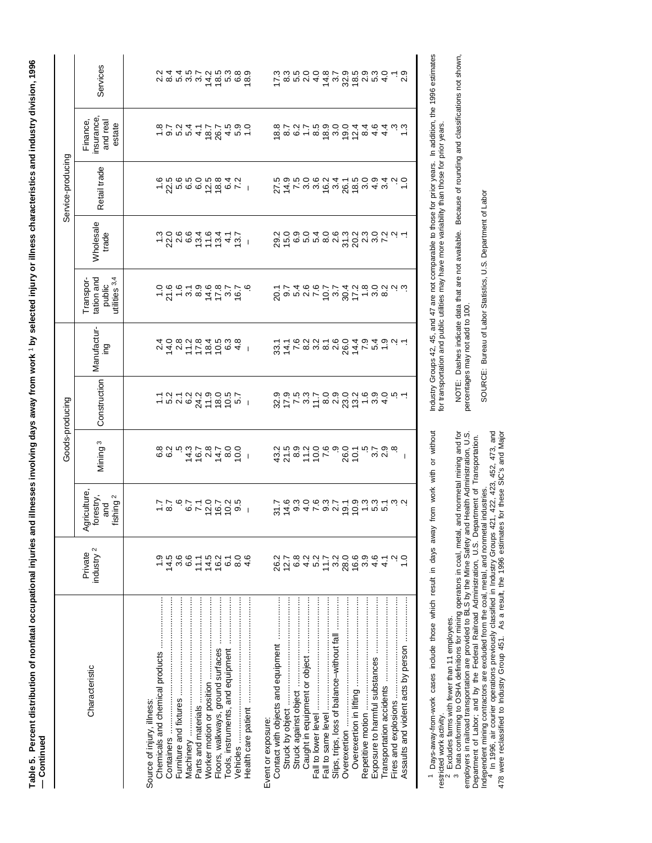Table 5. Percent distribution of nonfatal occupational injuries and illnesses involving days away from work 1 by selected injury or illness characteristics and industry division, 1996<br>— Continued **Table 5. Percent distribution of nonfatal occupational injuries and illnesses involving days away from work** 1 **by selected injury or illness characteristics and industry division, 1996 — Continued**

|                                            |                                  |                                                                 |                                | Goods-producing                                                                                                                                                                                                                                                                                                                                                                                                                                                                                                                                                                                                       |                                                |                                                                                                                                                                                                                                                                                                                                                                                                                                   |                           | Service-producing |                                              |                                                                                             |
|--------------------------------------------|----------------------------------|-----------------------------------------------------------------|--------------------------------|-----------------------------------------------------------------------------------------------------------------------------------------------------------------------------------------------------------------------------------------------------------------------------------------------------------------------------------------------------------------------------------------------------------------------------------------------------------------------------------------------------------------------------------------------------------------------------------------------------------------------|------------------------------------------------|-----------------------------------------------------------------------------------------------------------------------------------------------------------------------------------------------------------------------------------------------------------------------------------------------------------------------------------------------------------------------------------------------------------------------------------|---------------------------|-------------------|----------------------------------------------|---------------------------------------------------------------------------------------------|
| Characteristic                             | industry <sup>2</sup><br>Private | <b>Agriculture</b> ,<br>forestry,<br>ishing <sup>2</sup><br>and | Mining <sup>3</sup>            | Construction                                                                                                                                                                                                                                                                                                                                                                                                                                                                                                                                                                                                          | Manufactur-<br>ing                             | utilities 3,4<br>tation and<br>Transpor-<br>public                                                                                                                                                                                                                                                                                                                                                                                | <b>Wholesale</b><br>trade | Retail trade      | insurance,<br>Finance,<br>and real<br>estate | Services                                                                                    |
|                                            |                                  |                                                                 |                                |                                                                                                                                                                                                                                                                                                                                                                                                                                                                                                                                                                                                                       |                                                |                                                                                                                                                                                                                                                                                                                                                                                                                                   |                           |                   |                                              |                                                                                             |
| Source of injury, illness:                 |                                  |                                                                 |                                |                                                                                                                                                                                                                                                                                                                                                                                                                                                                                                                                                                                                                       |                                                |                                                                                                                                                                                                                                                                                                                                                                                                                                   |                           |                   |                                              |                                                                                             |
|                                            |                                  |                                                                 |                                |                                                                                                                                                                                                                                                                                                                                                                                                                                                                                                                                                                                                                       |                                                |                                                                                                                                                                                                                                                                                                                                                                                                                                   |                           |                   |                                              |                                                                                             |
|                                            | 14.5                             | 1297107319<br>1297107319                                        |                                |                                                                                                                                                                                                                                                                                                                                                                                                                                                                                                                                                                                                                       | 2 4 5 6 5 6 6 4 1<br>2 4 6 6 7 6 7 6 7 6 9 6 7 | $\begin{array}{l} \hbox{--\hskip-2pt $\sim$} \\ \hbox{--\hskip-2pt $\sim$} \\ \hbox{--\hskip-2pt $\sim$} \\ \hbox{--\hskip-2pt $\sim$} \\ \hbox{--\hskip-2pt $\sim$} \\ \hbox{--\hskip-2pt $\sim$} \\ \hbox{--\hskip-2pt $\sim$} \\ \hbox{--\hskip-2pt $\sim$} \\ \hbox{--\hskip-2pt $\sim$} \\ \hbox{--\hskip-2pt $\sim$} \\ \hbox{--\hskip-2pt $\sim$} \\ \hbox{--\hskip-2pt $\sim$} \\ \hbox{--\hskip-2pt $\sim$} \\ \hbox{--$ | 1286646417.               |                   |                                              | ci ra ra ra ra ra ra ra ra<br>ci ra ra ra ra ra ra ra ra                                    |
| Machinery ………………………………………                  | <br>თა<br>ნ                      |                                                                 |                                |                                                                                                                                                                                                                                                                                                                                                                                                                                                                                                                                                                                                                       |                                                |                                                                                                                                                                                                                                                                                                                                                                                                                                   |                           |                   |                                              |                                                                                             |
|                                            |                                  |                                                                 |                                |                                                                                                                                                                                                                                                                                                                                                                                                                                                                                                                                                                                                                       |                                                |                                                                                                                                                                                                                                                                                                                                                                                                                                   |                           |                   |                                              |                                                                                             |
|                                            |                                  |                                                                 |                                |                                                                                                                                                                                                                                                                                                                                                                                                                                                                                                                                                                                                                       |                                                |                                                                                                                                                                                                                                                                                                                                                                                                                                   |                           |                   |                                              |                                                                                             |
|                                            | 74600000000                      |                                                                 |                                |                                                                                                                                                                                                                                                                                                                                                                                                                                                                                                                                                                                                                       |                                                |                                                                                                                                                                                                                                                                                                                                                                                                                                   |                           |                   |                                              |                                                                                             |
|                                            |                                  |                                                                 |                                |                                                                                                                                                                                                                                                                                                                                                                                                                                                                                                                                                                                                                       |                                                |                                                                                                                                                                                                                                                                                                                                                                                                                                   |                           |                   |                                              |                                                                                             |
|                                            |                                  |                                                                 |                                |                                                                                                                                                                                                                                                                                                                                                                                                                                                                                                                                                                                                                       |                                                |                                                                                                                                                                                                                                                                                                                                                                                                                                   |                           |                   |                                              |                                                                                             |
|                                            |                                  |                                                                 |                                |                                                                                                                                                                                                                                                                                                                                                                                                                                                                                                                                                                                                                       |                                                |                                                                                                                                                                                                                                                                                                                                                                                                                                   |                           |                   |                                              |                                                                                             |
| Event or exposure:                         |                                  |                                                                 |                                |                                                                                                                                                                                                                                                                                                                                                                                                                                                                                                                                                                                                                       |                                                |                                                                                                                                                                                                                                                                                                                                                                                                                                   |                           |                   |                                              |                                                                                             |
|                                            | 26.2                             |                                                                 |                                |                                                                                                                                                                                                                                                                                                                                                                                                                                                                                                                                                                                                                       |                                                |                                                                                                                                                                                                                                                                                                                                                                                                                                   |                           |                   |                                              |                                                                                             |
| Struck by object …………………………………………          | $12.7$<br>6.8                    |                                                                 |                                |                                                                                                                                                                                                                                                                                                                                                                                                                                                                                                                                                                                                                       |                                                |                                                                                                                                                                                                                                                                                                                                                                                                                                   |                           |                   |                                              |                                                                                             |
|                                            |                                  |                                                                 |                                |                                                                                                                                                                                                                                                                                                                                                                                                                                                                                                                                                                                                                       |                                                |                                                                                                                                                                                                                                                                                                                                                                                                                                   |                           |                   |                                              |                                                                                             |
|                                            | $4.2$<br>5.2                     |                                                                 |                                |                                                                                                                                                                                                                                                                                                                                                                                                                                                                                                                                                                                                                       |                                                |                                                                                                                                                                                                                                                                                                                                                                                                                                   |                           |                   |                                              |                                                                                             |
|                                            |                                  |                                                                 |                                |                                                                                                                                                                                                                                                                                                                                                                                                                                                                                                                                                                                                                       |                                                |                                                                                                                                                                                                                                                                                                                                                                                                                                   |                           |                   |                                              |                                                                                             |
| Slips, trips, loss of balance-without fall | $11.7$<br>3.2                    | 8404 - 00056 - 00056                                            | $37899969907$<br>$37879999907$ | $\begin{array}{l} \mathcal{G}\subset \mathcal{L}\subset \mathcal{L}\subset \mathcal{L}\subset \mathcal{L}\subset \mathcal{L}\subset \mathcal{L}\subset \mathcal{L}\subset \mathcal{L}\subset \mathcal{L}\subset \mathcal{L}\subset \mathcal{L}\subset \mathcal{L}\subset \mathcal{L}\subset \mathcal{L}\subset \mathcal{L}\subset \mathcal{L}\subset \mathcal{L}\subset \mathcal{L}\subset \mathcal{L}\subset \mathcal{L}\subset \mathcal{L}\subset \mathcal{L}\subset \mathcal{L}\subset \mathcal{L}\subset \mathcal{L}\subset \mathcal{L}\subset \mathcal{L}\subset \mathcal{L}\subset \mathcal{L}\subset \mathcal$ | SAL mummundi<br>Lindungilut<br>Linduni         |                                                                                                                                                                                                                                                                                                                                                                                                                                   |                           |                   | $6800 - 86000044$<br>$690000044$             | $\tilde{\mathcal{L}}$ a n $\alpha$ 4 4 4 $\omega$ $\omega$ $\alpha$ a n $\alpha$ 4 $\alpha$ |
|                                            | 28.0                             |                                                                 |                                |                                                                                                                                                                                                                                                                                                                                                                                                                                                                                                                                                                                                                       |                                                |                                                                                                                                                                                                                                                                                                                                                                                                                                   |                           |                   |                                              |                                                                                             |
|                                            | 16.6                             |                                                                 |                                |                                                                                                                                                                                                                                                                                                                                                                                                                                                                                                                                                                                                                       |                                                |                                                                                                                                                                                                                                                                                                                                                                                                                                   |                           |                   |                                              |                                                                                             |
| Repetitive motion                          | 3.9                              |                                                                 |                                |                                                                                                                                                                                                                                                                                                                                                                                                                                                                                                                                                                                                                       |                                                |                                                                                                                                                                                                                                                                                                                                                                                                                                   |                           |                   |                                              |                                                                                             |
| Exposure to harmful substances             | 4.6                              |                                                                 | coco<br>cococo                 |                                                                                                                                                                                                                                                                                                                                                                                                                                                                                                                                                                                                                       |                                                |                                                                                                                                                                                                                                                                                                                                                                                                                                   |                           |                   |                                              |                                                                                             |
|                                            | $\frac{1}{4}$                    |                                                                 |                                |                                                                                                                                                                                                                                                                                                                                                                                                                                                                                                                                                                                                                       |                                                |                                                                                                                                                                                                                                                                                                                                                                                                                                   |                           |                   |                                              |                                                                                             |
|                                            |                                  |                                                                 |                                |                                                                                                                                                                                                                                                                                                                                                                                                                                                                                                                                                                                                                       |                                                |                                                                                                                                                                                                                                                                                                                                                                                                                                   |                           |                   | 44                                           |                                                                                             |
|                                            |                                  |                                                                 |                                |                                                                                                                                                                                                                                                                                                                                                                                                                                                                                                                                                                                                                       |                                                |                                                                                                                                                                                                                                                                                                                                                                                                                                   |                           |                   |                                              |                                                                                             |
|                                            |                                  |                                                                 |                                |                                                                                                                                                                                                                                                                                                                                                                                                                                                                                                                                                                                                                       |                                                |                                                                                                                                                                                                                                                                                                                                                                                                                                   |                           |                   |                                              |                                                                                             |

1 Days-away-from-work cases include those which result in days away from work with or without Days-away-from-work cases include those which result in days away from work with or without restricted work activity.<br><sup>2</sup> Excludes farms with fewer than 11 employees.<br><sup>3</sup> Data conforming to OSHA definitions for mining operators in coal, metal, and nonmetal mining and for

restricted work activity.<br><sup>2</sup> Excludes farms with fewer than 11 employees.<br><sup>3</sup> Data conforming to OSHA definitions for mining operators in coal, metal, and nonmetal mining and for<br>employers in railroad transportation are p employers in railroad transportation are provided to BLS by the Mine Safety and Health Administration, U.S. Department of Labor; and by the Federal Railroad Administration, U.S. Department of Transportation.

Independent mining contractors are excluded from the coal, metal, and nonmetal industries.<br>4 In 1996, air courier operations previously classified in Industry Groups 421, 422, 423, 452, 473, and<br>478 were reclassified to In Independent mining contractors are excluded from the coal, metal, and nonmetal industries.<br><sup>4</sup> In 1996, air courier operations previously classified in Industry Groups 421, 422, 423, 452, 473, and 478 were reclassified to Industry Group 451. As a result, the 1996 estimates for these SIC's and Major

Industry Groups 42, 45, and 47 are not comparable to those for prior years. In addition, the 1996 estimates<br>for transportation and public utilities may have more variability than those for prior years. Industry Groups 42, 45, and 47 are not comparable to those for prior years. In addition, the 1996 estimates for transportation and public utilities may have more variability than those for prior years.

NOTE: Dashes indicate data that are not available. Because of rounding and classifications not shown,<br>percentages may not add to 100. NOTE: Dashes indicate data that are not available. Because of rounding and classifications not shown, percentages may not add to 100.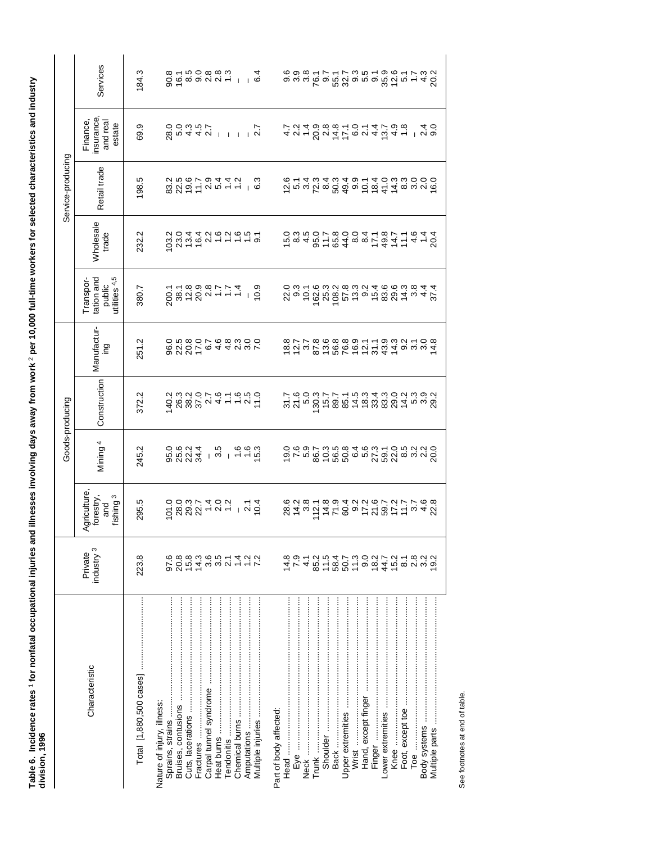| $\overline{a}$<br>$\overline{a}$<br>j<br>$\frac{1}{2}$<br>Ï<br>៑<br>i<br>$\overline{a}$ |                |
|-----------------------------------------------------------------------------------------|----------------|
| $\frac{1}{2}$                                                                           |                |
| <b>ACT 100</b><br>$\frac{1}{2}$                                                         | j<br>ׇ֠֕֡<br>ĺ |
| I<br>į                                                                                  |                |

|                   | Services                                                | 184.3 |                                                                                                                                                                                                                                                              |           |                        |            |                |                          |                        |                     |               |                                                                                                                                                                                                                                                                                                                                                                                                                                                                                                              |          |                   |                     |        |      |                  |  |                                 |
|-------------------|---------------------------------------------------------|-------|--------------------------------------------------------------------------------------------------------------------------------------------------------------------------------------------------------------------------------------------------------------|-----------|------------------------|------------|----------------|--------------------------|------------------------|---------------------|---------------|--------------------------------------------------------------------------------------------------------------------------------------------------------------------------------------------------------------------------------------------------------------------------------------------------------------------------------------------------------------------------------------------------------------------------------------------------------------------------------------------------------------|----------|-------------------|---------------------|--------|------|------------------|--|---------------------------------|
|                   | insurance<br>Finance,<br>and real<br>estate             | 69.9  | $0.44911119$<br>$0.0007$<br>28.0                                                                                                                                                                                                                             |           |                        |            |                |                          |                        |                     |               | <i>An</i> - <i>Su A L</i> o <i>n</i> 4 m d 4 - 1 n o<br><i>L n</i> 4 o 6 o 6 - 6 - 4 L o 6 - 4 - 1 n o                                                                                                                                                                                                                                                                                                                                                                                                       |          |                   |                     |        |      |                  |  |                                 |
| Service-producing | Retail trade                                            | 198.5 |                                                                                                                                                                                                                                                              |           |                        |            |                |                          |                        |                     |               |                                                                                                                                                                                                                                                                                                                                                                                                                                                                                                              |          |                   |                     |        |      |                  |  |                                 |
|                   | <b>Wholesale</b><br>trade                               | 232.2 | $\begin{array}{l} 0.000000\\ 0.000000\\ 0.000000\\ 0.000000\\ 0.000000\\ 0.000000\\ 0.000000\\ 0.000000\\ 0.000000\\ 0.000000\\ 0.000000\\ 0.000000\\ 0.000000\\ 0.000000\\ 0.000000\\ 0.000000\\ 0.000000\\ 0.000000\\ 0.000000\\ 0.000000\\ 0.000000\\ 0.$ |           |                        |            |                |                          |                        |                     |               |                                                                                                                                                                                                                                                                                                                                                                                                                                                                                                              |          |                   |                     |        |      |                  |  |                                 |
|                   | utilities 4,5<br>tation and<br>Transpor-<br>public      | 380.7 |                                                                                                                                                                                                                                                              |           |                        |            |                |                          |                        | 22.3<br>29.31       |               | $\begin{array}{l} \mathbf{\hat{c}} \\ \mathbf{\hat{c}} \\ \mathbf{\hat{c}} \\ \mathbf{\hat{c}} \\ \mathbf{\hat{c}} \\ \mathbf{\hat{c}} \\ \mathbf{\hat{c}} \\ \mathbf{\hat{c}} \\ \mathbf{\hat{c}} \\ \mathbf{\hat{c}} \\ \mathbf{\hat{c}} \\ \mathbf{\hat{c}} \\ \mathbf{\hat{c}} \\ \mathbf{\hat{c}} \\ \mathbf{\hat{c}} \\ \mathbf{\hat{c}} \\ \mathbf{\hat{c}} \\ \mathbf{\hat{c}} \\ \mathbf{\hat{c}} \\ \mathbf{\hat{c}} \\ \mathbf{\hat{c}} \\ \mathbf{\hat{c}} \\ \mathbf{\hat{c}} \\ \mathbf{\hat{$ |          |                   |                     |        |      |                  |  |                                 |
|                   | Manufactur-<br>ing                                      | 251.2 | 8 2 2 5<br>6 3 6 5 6 4 4 5 9 6 7<br>6 7 8 6 7 6 8 9 9 6 0                                                                                                                                                                                                    |           |                        |            |                |                          |                        |                     |               |                                                                                                                                                                                                                                                                                                                                                                                                                                                                                                              |          |                   |                     |        |      |                  |  |                                 |
| Goods-producing   | Construction                                            | 372.2 |                                                                                                                                                                                                                                                              |           |                        |            |                |                          |                        | 51.6<br>51.6<br>5.0 |               | $\begin{array}{l} 0.75 & 0.86 & 0.75 & 0.75 \\ 0.75 & 0.86 & 0.75 & 0.75 \\ 0.75 & 0.86 & 0.75 & 0.75 \\ 0.75 & 0.86 & 0.75 & 0.75 \\ 0.75 & 0.75 & 0.75 & 0.75 \\ 0.75 & 0.75 & 0.75 & 0.75 \\ 0.75 & 0.75 & 0.75 & 0.75 \\ 0.75 & 0.75 & 0.75 & 0.75 \\ 0.75 & 0.75 & 0.75 & 0.$                                                                                                                                                                                                                           |          |                   |                     |        |      |                  |  |                                 |
|                   | Mining <sup>4</sup>                                     | 245.2 | o o o a tino<br>b o a tino i tino o o a<br>c o a tino i tino o a tino                                                                                                                                                                                        |           |                        |            |                |                          |                        |                     |               |                                                                                                                                                                                                                                                                                                                                                                                                                                                                                                              |          |                   |                     |        |      |                  |  |                                 |
|                   | Agriculture<br>forestry,<br>fishing <sup>3</sup><br>and | 295.5 |                                                                                                                                                                                                                                                              |           |                        |            |                |                          |                        |                     |               |                                                                                                                                                                                                                                                                                                                                                                                                                                                                                                              |          |                   |                     |        |      |                  |  |                                 |
|                   | industry <sup>3</sup><br>Private                        | 223.8 | 97.6<br>$20.8$<br>$7.6$<br>$7.3$                                                                                                                                                                                                                             |           |                        |            |                | $00 - 400$<br>$00 - 400$ |                        | $7\frac{4}{7}$ .9   | $\frac{1}{4}$ | $878879877$ $878879997$                                                                                                                                                                                                                                                                                                                                                                                                                                                                                      |          |                   |                     |        |      |                  |  |                                 |
|                   | Characteristic                                          |       | Nature of injury, illness:<br>Bruises, contusions                                                                                                                                                                                                            | Fractures | Carpal tunnel syndrome | Tendonitis | Chemical burns |                          | Part of body affected: | Head                |               | Trunk                                                                                                                                                                                                                                                                                                                                                                                                                                                                                                        | Shoulder | Upper extremities | Hand, except finger | Finger | Knee | Foot, except toe |  | Multiple parts ………………………………………… |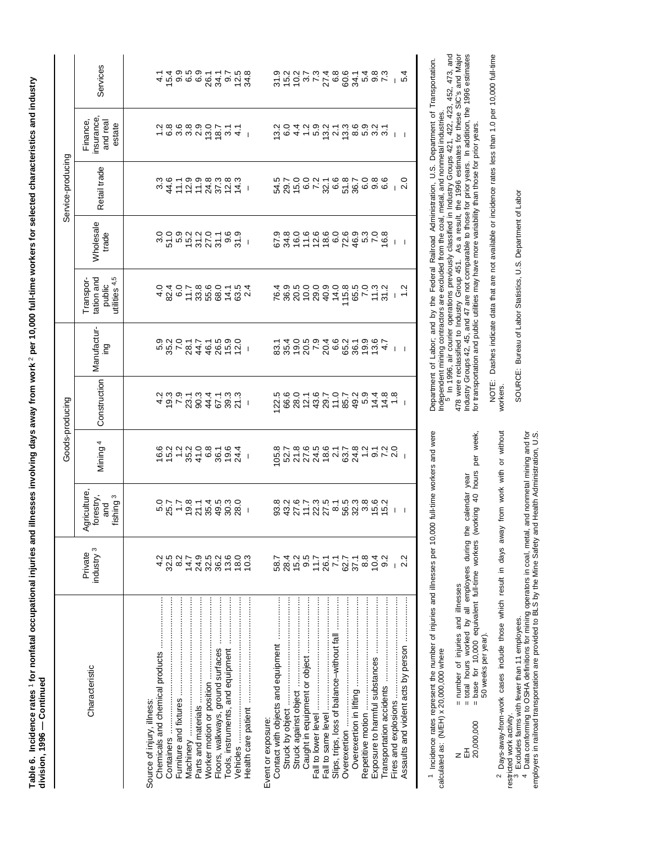Table 6. Incidence rates 1 for nonfatal occupational injuries and illnesses involving days away from work 2 per 10,000 full-time workers for selected characteristics and industry **Table 6. Incidence rates** 1 **for nonfatal occupational injuries and illnesses involving days away from work** 2 **per 10,000 full-time workers for selected characteristics and industry** division, 1996 - Continued **division, 1996 — Continued**

| Agriculture,<br>forestry,<br>and<br>industry <sup>3</sup><br>Private |                                                  | Mining <sup>4</sup>                       | Construction<br>Goods-producing                                                                                                                                                                                                                                                                                      | Manufactur-<br>gui       | tation and<br>Transpor-            | <b>Wholesale</b><br>trade        | Service-producing<br>Retail trade    | insurance<br>Finance,<br>and real                                                                       | Services |
|----------------------------------------------------------------------|--------------------------------------------------|-------------------------------------------|----------------------------------------------------------------------------------------------------------------------------------------------------------------------------------------------------------------------------------------------------------------------------------------------------------------------|--------------------------|------------------------------------|----------------------------------|--------------------------------------|---------------------------------------------------------------------------------------------------------|----------|
|                                                                      | ო<br>fishing                                     |                                           |                                                                                                                                                                                                                                                                                                                      |                          | public<br>utilities <sup>4,5</sup> |                                  |                                      | estate                                                                                                  |          |
|                                                                      |                                                  |                                           |                                                                                                                                                                                                                                                                                                                      |                          |                                    |                                  |                                      |                                                                                                         |          |
|                                                                      |                                                  |                                           |                                                                                                                                                                                                                                                                                                                      |                          |                                    |                                  |                                      |                                                                                                         |          |
|                                                                      |                                                  |                                           |                                                                                                                                                                                                                                                                                                                      |                          |                                    |                                  |                                      |                                                                                                         |          |
| 4 39 4 4<br>4 3 8 4 7                                                | $0.77874000$ $0.77874000$ $0.7789000$ $0.779000$ | $6025025$<br>$6030000070$<br>$6040000000$ | $\begin{array}{cccccc} 4 & 5 & \sim & 2 & 2 & 4 & 2 & 2 & 2 & 4 & 2 & 2 & 2 & 4 & 2 & 2 & 2 & 2 & 3 & 4 & 5 & 5 & 6 & 7 & 6 & 7 & 6 & 7 & 8 & 7 & 8 & 7 & 8 & 8 & 7 & 8 & 7 & 8 & 8 & 7 & 8 & 7 & 8 & 8 & 7 & 8 & 7 & 8 & 8 & 7 & 8 & 7 & 8 & 8 & 7 & 8 & 7 & 8 & 8 & 7 & 8 & 7 & 8 & 8 & 7 & 8 & 7 & 8 & 8 & 7 & 8$ |                          | $48050884897$<br>480588489         | ៰៰៰៓៰៓៰៹៰៹៰៰៓<br>៰៓៓៰៰៓៰៓៰៹៰៹៰៓៰ | $347572787777883848$                 | $-$ 6 $\omega$ 6 $\omega$ 6 $\omega$ 6 $\mu$ 4 $+$ 6 $\omega$ 6 $\omega$ 6 $\omega$ 6 $\mu$ 6 $+$ 7 $+$ |          |
|                                                                      |                                                  |                                           |                                                                                                                                                                                                                                                                                                                      |                          |                                    |                                  |                                      |                                                                                                         |          |
| 9<br>2 3 3 5 5 6<br>9 7 8 7 9                                        |                                                  |                                           |                                                                                                                                                                                                                                                                                                                      |                          |                                    |                                  |                                      |                                                                                                         |          |
|                                                                      |                                                  |                                           |                                                                                                                                                                                                                                                                                                                      |                          |                                    |                                  |                                      |                                                                                                         |          |
|                                                                      |                                                  |                                           |                                                                                                                                                                                                                                                                                                                      |                          |                                    |                                  |                                      |                                                                                                         |          |
|                                                                      |                                                  |                                           |                                                                                                                                                                                                                                                                                                                      |                          |                                    |                                  |                                      |                                                                                                         |          |
|                                                                      |                                                  |                                           |                                                                                                                                                                                                                                                                                                                      |                          |                                    |                                  |                                      |                                                                                                         |          |
| 10.3                                                                 |                                                  |                                           |                                                                                                                                                                                                                                                                                                                      |                          |                                    |                                  |                                      |                                                                                                         |          |
|                                                                      |                                                  |                                           |                                                                                                                                                                                                                                                                                                                      |                          |                                    |                                  |                                      |                                                                                                         |          |
| 58.7                                                                 |                                                  |                                           |                                                                                                                                                                                                                                                                                                                      | 888127、20688924 1 198989 |                                    |                                  | niroon-canroac o<br>4000-cantoon-can | d c 4 + n a d 4 a n a v 4 2                                                                             |          |
|                                                                      |                                                  |                                           |                                                                                                                                                                                                                                                                                                                      |                          |                                    |                                  |                                      |                                                                                                         |          |
| 2010<br>2010<br>2010                                                 |                                                  |                                           |                                                                                                                                                                                                                                                                                                                      |                          |                                    |                                  |                                      |                                                                                                         |          |
|                                                                      |                                                  |                                           |                                                                                                                                                                                                                                                                                                                      |                          |                                    |                                  |                                      |                                                                                                         |          |
|                                                                      |                                                  |                                           |                                                                                                                                                                                                                                                                                                                      |                          |                                    |                                  |                                      |                                                                                                         |          |
| $26.1$<br>$7.7$<br>$62.7$<br>$8.8$                                   |                                                  |                                           |                                                                                                                                                                                                                                                                                                                      |                          |                                    |                                  |                                      |                                                                                                         |          |
|                                                                      |                                                  |                                           |                                                                                                                                                                                                                                                                                                                      |                          |                                    |                                  |                                      |                                                                                                         |          |
|                                                                      |                                                  |                                           |                                                                                                                                                                                                                                                                                                                      |                          |                                    |                                  |                                      |                                                                                                         |          |
|                                                                      |                                                  |                                           |                                                                                                                                                                                                                                                                                                                      |                          |                                    |                                  |                                      |                                                                                                         |          |
|                                                                      |                                                  |                                           |                                                                                                                                                                                                                                                                                                                      |                          |                                    |                                  |                                      |                                                                                                         |          |
| 10.4                                                                 |                                                  |                                           |                                                                                                                                                                                                                                                                                                                      |                          |                                    |                                  |                                      |                                                                                                         |          |
| 9.2                                                                  |                                                  |                                           |                                                                                                                                                                                                                                                                                                                      |                          |                                    |                                  |                                      |                                                                                                         |          |
|                                                                      | -1                                               |                                           |                                                                                                                                                                                                                                                                                                                      |                          |                                    | $\perp$                          |                                      | $\blacksquare$                                                                                          | $-6$     |
|                                                                      |                                                  |                                           |                                                                                                                                                                                                                                                                                                                      |                          |                                    |                                  |                                      |                                                                                                         |          |
|                                                                      |                                                  |                                           |                                                                                                                                                                                                                                                                                                                      |                          |                                    |                                  |                                      |                                                                                                         |          |

<sup>1</sup> Incidence rates represent the number of injuries and illnesses per 10,000 full-time workers and were<br>calculated as: (N/EH) x 20,000,000 where Incidence rates represent the number of injuries and illnesses per 10,000 full-time workers and were calculated as: (N/EH) x 20,000,000 where

N = number of injuries and illnesses

EH  $=$  total hours worked by all employees during the calendar year N<br>EH<br>20,000,000

= number of injuries and illnesses<br>= total hours worked by all employees during the calendar year<br>= base for 10,000 equivalent full-time workers (working 40 hours per week, 20,000,000 = base for 10,000 equivalent full-time workers (working 40 hours per week,

<sup>2</sup> Days-away-from-work cases include those which result in days away from work with or without Days-away-from-work cases include those which result in days away from work with or without 50 weeks per year). 50 weeks per year).

restricted work activity.<br><sup>3</sup> Excludes farms with fewer than 11 employees.<br><sup>4</sup> Data conforming to OSHA definitions for mining operators in coal, metal, and nonmetal mining and for restricted work activity.

employers in railroad transportation are provided to BLS by the Mine Safety and Health Administration, U.S.

Independent mining contractors are excluded from the coal, metal, and nonmetal industries.<br><sup>5</sup> In 1996, air courier operations previously classified in Industry Groups 421, 422, 423, 452, 473, and Department of Labor; and by the Federal Railroad Administration, U.S. Department of Transportation. Department of Labor; and by the Federal Railroad Administration, U.S. Department of Transportation.

Independent mining contractors are excluded from the coal, metal, and nonmetal industries.<br><sup>5</sup> In 1996, air courier operations previously classified in Industry Groups 421, 422, 423, 452, 473, and<br>478 were reclassified to 478 were reclassified to Industry Group 451. As a result, the 1996 estimates for these SIC's and Major Industry Groups 42, 45, and 47 are not comparable to those for prior years. In addition, the 1996 estimates for transportation and public utilities may have more variability than those for prior years.

NOTE: Dashes indicate data that are not available or incidence rates less than 1.0 per 10,000 full-time NOTE: Dashes indicate data that are not available or incidence rates less than 1.0 per 10,000 full-time workers. workers.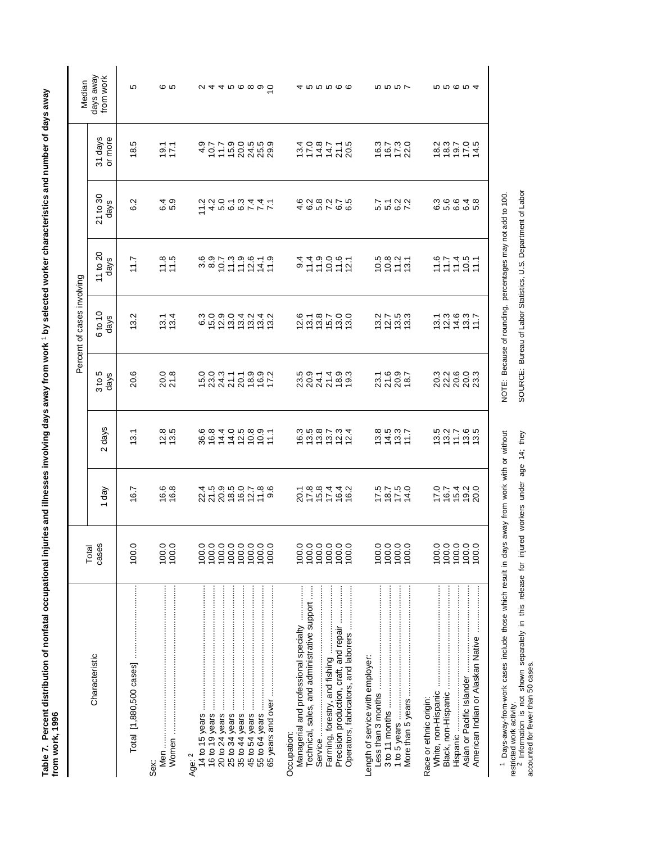Table 7. Percent distribution of nonfatal occupational injuries and illnesses involving days away from work <sup>1</sup> by selected worker characteristics and number of days away<br>from work, 1996 **Table 7. Percent distribution of nonfatal occupational injuries and illnesses involving days away from work** 1 **by selected worker characteristics and number of days away from work, 1996**

restricted work activity.<br><sup>2</sup> Information is not shown separately in this release for injured workers under age 14; they<br>accounted for fewer than 50 cases. restricted work activity.<br><sup>2</sup> Information is not shown separately in this release for injured workers under age 14; they

accounted for fewer than 50 cases.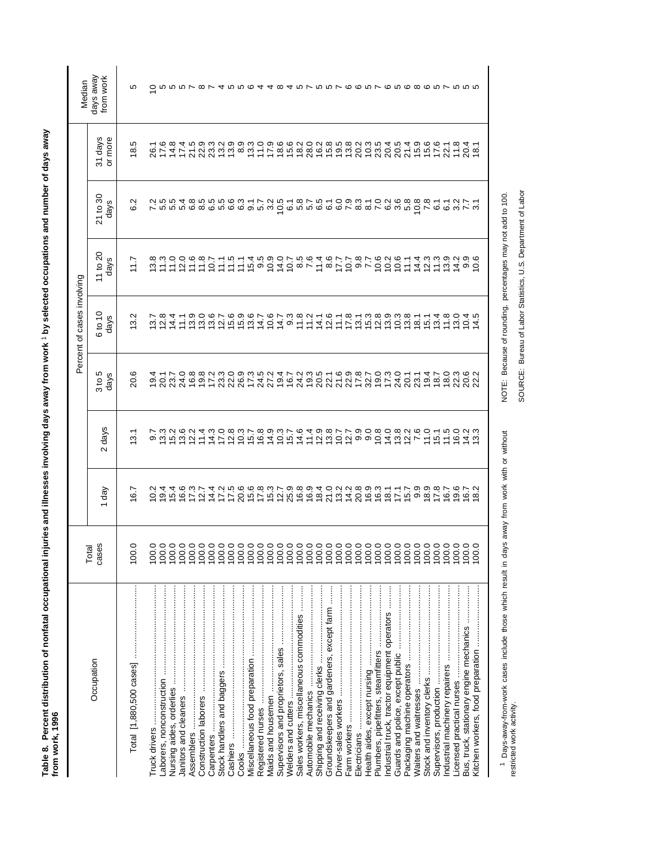| Š<br>. היה א היה ה<br>:<br>3<br>$\frac{1}{2}$           |   |
|---------------------------------------------------------|---|
| A NOVE OWNER THE<br>נים והמונים ביותר היום וא<br>こくらくらく |   |
| cupatio<br>Ò<br>I                                       |   |
| i<br>ı                                                  | í |
| ì                                                       |   |

|                                                                                                          |                                |                                        |                             |                            | Percent of cases involving                                 |                                                                                |                                                                                                                                                                                                                                                                                                                                                                                                                                                                                                                                                                                               |                                    | Median                  |
|----------------------------------------------------------------------------------------------------------|--------------------------------|----------------------------------------|-----------------------------|----------------------------|------------------------------------------------------------|--------------------------------------------------------------------------------|-----------------------------------------------------------------------------------------------------------------------------------------------------------------------------------------------------------------------------------------------------------------------------------------------------------------------------------------------------------------------------------------------------------------------------------------------------------------------------------------------------------------------------------------------------------------------------------------------|------------------------------------|-------------------------|
| Occupation                                                                                               | cases<br>Total                 | 1 day                                  | 2 days                      | 3 to 5<br>days             | 6 to 10<br>days                                            | 11 to $20$<br>days                                                             | 21 to 30<br>days                                                                                                                                                                                                                                                                                                                                                                                                                                                                                                                                                                              | 31 days<br>or more                 | days away<br>from work  |
| Total [1,880,500 cases]                                                                                  | 100.0                          | 6.7                                    | 3.1                         | 20.6                       | 3.2                                                        | 117                                                                            | 6.2                                                                                                                                                                                                                                                                                                                                                                                                                                                                                                                                                                                           | 18.5                               | LO                      |
|                                                                                                          | 100.0                          | $\frac{2}{3}$                          |                             |                            |                                                            |                                                                                | 7.2                                                                                                                                                                                                                                                                                                                                                                                                                                                                                                                                                                                           |                                    | 0                       |
|                                                                                                          | 100.0                          |                                        |                             |                            | $\frac{0.8}{0.8}$                                          | $\frac{8}{11}$                                                                 |                                                                                                                                                                                                                                                                                                                                                                                                                                                                                                                                                                                               |                                    |                         |
|                                                                                                          | 100.0                          | $\frac{0}{9}$ 4<br>4<br>4<br>4         | 0.0.00<br>0.00<br>0.00      | $19.1$<br>$20.7$<br>$23.7$ | 14.4                                                       | 11.0                                                                           | 5.5<br>5.5                                                                                                                                                                                                                                                                                                                                                                                                                                                                                                                                                                                    | 26147<br>26129<br>2612             |                         |
|                                                                                                          | 100.0                          |                                        |                             | 24.0                       | 111                                                        | 12.0                                                                           |                                                                                                                                                                                                                                                                                                                                                                                                                                                                                                                                                                                               |                                    |                         |
|                                                                                                          | 100.0                          | $16.300$<br>$12.700$                   | $\frac{0}{2}$ $\frac{0}{2}$ |                            |                                                            | 1.6                                                                            | 10.00<br>10.00<br>10.00                                                                                                                                                                                                                                                                                                                                                                                                                                                                                                                                                                       | 21.5                               |                         |
|                                                                                                          | 100.0                          |                                        | 11.4                        |                            | $13.0$<br>$13.0$                                           | 11.8                                                                           |                                                                                                                                                                                                                                                                                                                                                                                                                                                                                                                                                                                               | 22.9                               |                         |
|                                                                                                          |                                | $14.4$<br>$17.2$                       |                             |                            | 13.6                                                       | 10.7                                                                           | 6 10 10<br>6 10 10                                                                                                                                                                                                                                                                                                                                                                                                                                                                                                                                                                            | 21219930<br>20109211               | $\infty \vee 4$ row row |
|                                                                                                          |                                |                                        | $777778$<br>$4777778$       |                            |                                                            | $\frac{1}{1}$                                                                  |                                                                                                                                                                                                                                                                                                                                                                                                                                                                                                                                                                                               |                                    |                         |
|                                                                                                          |                                | 17.5                                   |                             |                            | $15.9$<br>$15.9$                                           | 11.5                                                                           |                                                                                                                                                                                                                                                                                                                                                                                                                                                                                                                                                                                               |                                    |                         |
| Cooks                                                                                                    |                                |                                        |                             |                            |                                                            | 11.1                                                                           |                                                                                                                                                                                                                                                                                                                                                                                                                                                                                                                                                                                               |                                    |                         |
|                                                                                                          |                                | 20.6<br>17.8                           |                             |                            | $13.6$<br>$14.7$                                           | 159.5                                                                          | 6<br>6 9 17<br>6 19                                                                                                                                                                                                                                                                                                                                                                                                                                                                                                                                                                           |                                    |                         |
|                                                                                                          |                                |                                        |                             |                            |                                                            |                                                                                |                                                                                                                                                                                                                                                                                                                                                                                                                                                                                                                                                                                               |                                    |                         |
|                                                                                                          |                                |                                        | 14.9                        | 27.2                       | 10.6                                                       |                                                                                |                                                                                                                                                                                                                                                                                                                                                                                                                                                                                                                                                                                               | 17.9                               |                         |
|                                                                                                          |                                | 10208940228993117<br>52598940224099311 | $10.3$<br>$15.7$            | 17230516<br>19490217       | $14.7$<br>9.3                                              | $5458$ $545$<br>$645$<br>$646$<br>$76$<br>$76$<br>$76$<br>$76$<br>$76$<br>$76$ | $\begin{array}{l} \mathcal{A}\overset{\bullet}{\sim}\mathcal{C}\overset{\bullet}{\sim}\mathcal{C}\overset{\bullet}{\sim}\mathcal{C}\overset{\bullet}{\sim}\mathcal{C}\overset{\bullet}{\sim}\mathcal{C}\overset{\bullet}{\sim}\mathcal{C}\overset{\bullet}{\sim}\mathcal{C}\overset{\bullet}{\sim}\mathcal{C}\overset{\bullet}{\sim}\mathcal{C}\overset{\bullet}{\sim}\mathcal{C}\overset{\bullet}{\sim}\mathcal{C}\overset{\bullet}{\sim}\mathcal{C}\overset{\bullet}{\sim}\mathcal{C}\overset{\bullet}{\sim}\mathcal{C}\overset{\bullet}{\sim}\mathcal{C}\overset{\bullet}{\sim}\mathcal{C$ | 8622286<br>66286666                |                         |
|                                                                                                          |                                |                                        |                             |                            |                                                            |                                                                                |                                                                                                                                                                                                                                                                                                                                                                                                                                                                                                                                                                                               |                                    |                         |
| Sales workers, miscellaneous commodities                                                                 |                                |                                        | $14.6$<br>11.4              |                            | 11.8                                                       |                                                                                |                                                                                                                                                                                                                                                                                                                                                                                                                                                                                                                                                                                               |                                    |                         |
|                                                                                                          |                                |                                        |                             |                            |                                                            |                                                                                |                                                                                                                                                                                                                                                                                                                                                                                                                                                                                                                                                                                               |                                    |                         |
|                                                                                                          |                                |                                        |                             |                            | $14.1$<br>$12.6$                                           |                                                                                |                                                                                                                                                                                                                                                                                                                                                                                                                                                                                                                                                                                               |                                    |                         |
| Groundskeepers and gardeners, except farm                                                                |                                |                                        | $280$<br>$287$              |                            |                                                            |                                                                                |                                                                                                                                                                                                                                                                                                                                                                                                                                                                                                                                                                                               |                                    |                         |
|                                                                                                          |                                |                                        |                             |                            | 11.1                                                       |                                                                                |                                                                                                                                                                                                                                                                                                                                                                                                                                                                                                                                                                                               |                                    |                         |
|                                                                                                          |                                |                                        | 200000                      | 20210324223                | 17.8                                                       | $7.7$<br>7.8<br>7.7                                                            |                                                                                                                                                                                                                                                                                                                                                                                                                                                                                                                                                                                               | 3<br>2003<br>2003                  |                         |
|                                                                                                          |                                |                                        |                             |                            | $13.1$<br>$15.3$                                           |                                                                                |                                                                                                                                                                                                                                                                                                                                                                                                                                                                                                                                                                                               |                                    |                         |
|                                                                                                          |                                |                                        |                             |                            |                                                            |                                                                                |                                                                                                                                                                                                                                                                                                                                                                                                                                                                                                                                                                                               |                                    |                         |
|                                                                                                          | 0000000<br>00000000<br>0000000 |                                        | 10.8                        |                            | 12.8                                                       | 10.6                                                                           |                                                                                                                                                                                                                                                                                                                                                                                                                                                                                                                                                                                               |                                    |                         |
| ndustrial truck, tractor equipment operators                                                             |                                |                                        |                             |                            | 13.3                                                       | 10.2                                                                           |                                                                                                                                                                                                                                                                                                                                                                                                                                                                                                                                                                                               | 20.5<br>20.5                       |                         |
|                                                                                                          |                                |                                        | 4.557                       |                            |                                                            | 10.6                                                                           |                                                                                                                                                                                                                                                                                                                                                                                                                                                                                                                                                                                               |                                    |                         |
|                                                                                                          |                                |                                        |                             | 20.1                       | $\frac{8}{18}$ 1                                           | 11.1                                                                           |                                                                                                                                                                                                                                                                                                                                                                                                                                                                                                                                                                                               |                                    |                         |
|                                                                                                          |                                |                                        |                             | 23.1                       |                                                            | 14.4                                                                           | 8<br>10.8<br>20.8                                                                                                                                                                                                                                                                                                                                                                                                                                                                                                                                                                             |                                    |                         |
|                                                                                                          |                                | $159987$<br>$159987$                   | 11.0                        | 19.4                       | 15.1                                                       | 12.3                                                                           |                                                                                                                                                                                                                                                                                                                                                                                                                                                                                                                                                                                               | $21900$<br>$7900$<br>$790$<br>$77$ |                         |
|                                                                                                          | 100.0                          |                                        | $15.1$<br>$1.5$             | $18.7$<br>$18.0$           | 3.4                                                        | 11.3                                                                           | 6.1                                                                                                                                                                                                                                                                                                                                                                                                                                                                                                                                                                                           |                                    |                         |
|                                                                                                          |                                |                                        |                             |                            | 11.8                                                       | 13.9                                                                           |                                                                                                                                                                                                                                                                                                                                                                                                                                                                                                                                                                                               | 22.1                               |                         |
|                                                                                                          | 0.001                          |                                        | 16.0                        | 22.3                       | 13.0                                                       | 74.9                                                                           | 3.7                                                                                                                                                                                                                                                                                                                                                                                                                                                                                                                                                                                           | $\frac{11.8}{20.4}$                |                         |
| Bus, truck, stationary engine mechanics                                                                  | 0.00                           | $0.52$<br>$0.62$                       | $\frac{4}{3}$ $\frac{3}{3}$ | 20.6<br>22.2               | 0.4                                                        |                                                                                |                                                                                                                                                                                                                                                                                                                                                                                                                                                                                                                                                                                               |                                    |                         |
|                                                                                                          | 0.0                            |                                        |                             |                            | 4                                                          | $0.\overline{6}$                                                               | $\overline{3}$                                                                                                                                                                                                                                                                                                                                                                                                                                                                                                                                                                                | 18.1                               |                         |
|                                                                                                          |                                |                                        |                             |                            |                                                            |                                                                                |                                                                                                                                                                                                                                                                                                                                                                                                                                                                                                                                                                                               |                                    |                         |
| <sup>1</sup> Days-away-from-work cases include those which result in days away from work with or without |                                |                                        |                             |                            | NOTE: Because of rounding, percentages may not add to 100. |                                                                                |                                                                                                                                                                                                                                                                                                                                                                                                                                                                                                                                                                                               |                                    |                         |

1 Days-away-from-work cases include those which result in days away from work with or without restricted work activity. Days-away-from-work cases include those which result in days away from work with or without restricted work activity.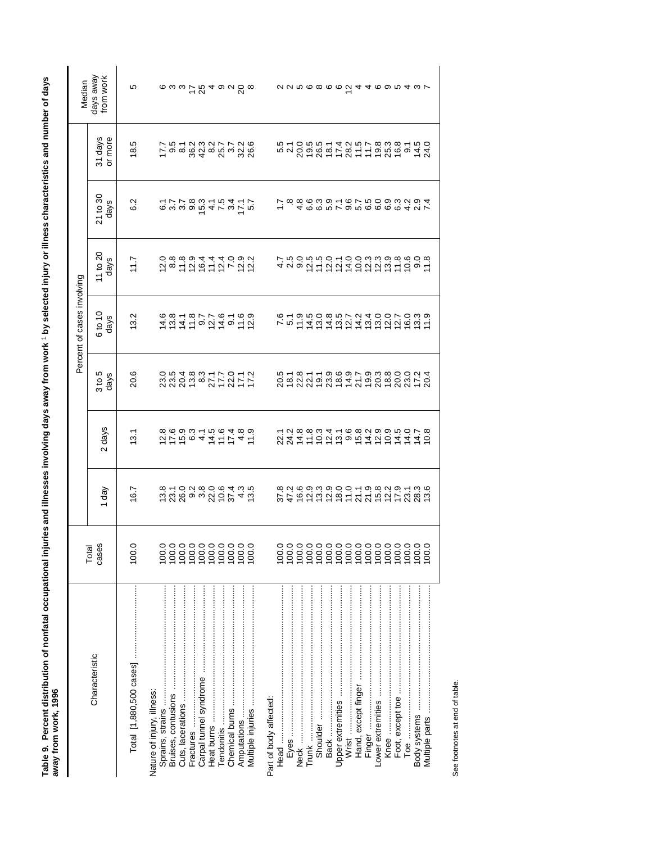| $\frac{1}{2}$                                                                                 |   |
|-----------------------------------------------------------------------------------------------|---|
| $\ddot{\phantom{a}}$                                                                          |   |
| $\overline{a}$                                                                                |   |
| 2                                                                                             |   |
| ֚֚֚֬<br>i                                                                                     |   |
|                                                                                               |   |
| iluri<br>l<br>j<br>j                                                                          |   |
| l                                                                                             |   |
| j<br>֧֧֧ׅ֧֧֧֧֧֧֦֧֚֚֚֚֚֚֚֚֚֚֚֚֚֚֚֚֚֚֚֚֚֚֚֚֡֡֡֓֓֜֓֡֬֓֓֓֓֓<br>$\overline{\phantom{a}}$<br>l<br>l | Ş |
| ¢<br>ı                                                                                        | í |

| Median                     | days away<br>from work | Ю     |                            |       |           |  | $\omega$ $\omega$ $\omega$ $\omega$ $\omega$ $\omega$ $\omega$ $\omega$                                                                                                                                                                                                                                                                                                                                                                                        |             |       |                        |       |  |  |      |       |  |       |       |                                                    | <i>NNEG</i> @ @ <i>Q</i> 4 4 @ @ p 4 w L                                |                                   |
|----------------------------|------------------------|-------|----------------------------|-------|-----------|--|----------------------------------------------------------------------------------------------------------------------------------------------------------------------------------------------------------------------------------------------------------------------------------------------------------------------------------------------------------------------------------------------------------------------------------------------------------------|-------------|-------|------------------------|-------|--|--|------|-------|--|-------|-------|----------------------------------------------------|-------------------------------------------------------------------------|-----------------------------------|
|                            | 31 days<br>or more     | 18.5  |                            |       |           |  | $\overline{r}$ $\overline{q}$ $\overline{q}$ $\overline{q}$ $\overline{q}$ $\overline{q}$ $\overline{q}$ $\overline{q}$ $\overline{q}$ $\overline{q}$ $\overline{q}$ $\overline{q}$ $\overline{q}$ $\overline{q}$ $\overline{q}$ $\overline{q}$ $\overline{q}$ $\overline{q}$ $\overline{q}$ $\overline{q}$ $\overline{q}$ $\overline{q}$ $\overline{q}$ $\overline{q}$ $\overline{$                                                                           |             |       |                        |       |  |  |      |       |  |       |       |                                                    | 5105514257838150.5 1058142110.5 5 1 1 5 5 4 4                           |                                   |
|                            | 21 to 30<br>days       | 6.2   |                            |       |           |  | $0.000004$ $0.00000$                                                                                                                                                                                                                                                                                                                                                                                                                                           |             |       |                        |       |  |  |      |       |  |       |       |                                                    | r a conrono coonida<br>r a conrono coonida                              |                                   |
|                            | 11 to 20<br>days       | 7.7   |                            |       |           |  | $288994440904$                                                                                                                                                                                                                                                                                                                                                                                                                                                 |             |       |                        |       |  |  |      |       |  |       |       |                                                    | 4 2 9 2 4 5 5 4 5 5 6 5 6 7 6 9 6 7 7 8 9 7 7 8 9 7 7 7 8 9 7 7 7 9 9 7 |                                   |
| Percent of cases involving | 6 to 10<br>days        | 13.2  |                            |       |           |  | $1000 - 0000$ $1010 - 0000$ $1020 - 0000$ $1020 - 0000$                                                                                                                                                                                                                                                                                                                                                                                                        |             |       |                        |       |  |  |      |       |  |       |       |                                                    |                                                                         |                                   |
|                            | $3 to 5$<br>days       | 20.6  |                            |       |           |  |                                                                                                                                                                                                                                                                                                                                                                                                                                                                |             |       |                        |       |  |  |      |       |  |       |       |                                                    |                                                                         |                                   |
|                            | 2 days                 | 13.1  |                            |       |           |  |                                                                                                                                                                                                                                                                                                                                                                                                                                                                |             |       |                        |       |  |  |      |       |  |       |       |                                                    |                                                                         |                                   |
|                            | 1 day                  | 16.7  |                            |       |           |  | $\begin{array}{l} \mathbf{\dot{u}}\ \mathbf{\dot{u}}\ \mathbf{\dot{u}}\ \mathbf{\dot{u}}\ \mathbf{\dot{u}}\ \mathbf{\dot{u}}\ \mathbf{\dot{u}}\ \mathbf{\dot{u}}\ \mathbf{\dot{u}}\ \mathbf{\dot{u}}\ \mathbf{\dot{u}}\ \mathbf{\dot{u}}\ \mathbf{\dot{u}}\ \mathbf{\dot{u}}\ \mathbf{\dot{u}}\ \mathbf{\dot{u}}\ \mathbf{\dot{u}}\ \mathbf{\dot{u}}\ \mathbf{\dot{u}}\ \mathbf{\dot{u}}\ \mathbf{\dot{u}}\ \mathbf{\dot{u}}\ \mathbf{\dot{u}}\ \mathbf{\dot{$ |             |       |                        |       |  |  |      |       |  |       |       |                                                    |                                                                         |                                   |
|                            | Total<br>cases         | 100.0 | 100.0                      | 100.0 |           |  |                                                                                                                                                                                                                                                                                                                                                                                                                                                                |             | 100.0 |                        | 100.0 |  |  |      |       |  | 100.0 | 100.0 | 100.0                                              | 100.0                                                                   | 100.0                             |
|                            | Characteristic         |       | Nature of injury, illness: |       | Fractures |  | Tendonitis ……………………………………………                                                                                                                                                                                                                                                                                                                                                                                                                                   | Amputations |       | Part of body affected: |       |  |  | Back | Wrist |  |       |       | Toe announcement and an international component of |                                                                         | Multiple parts ……………………………………………… |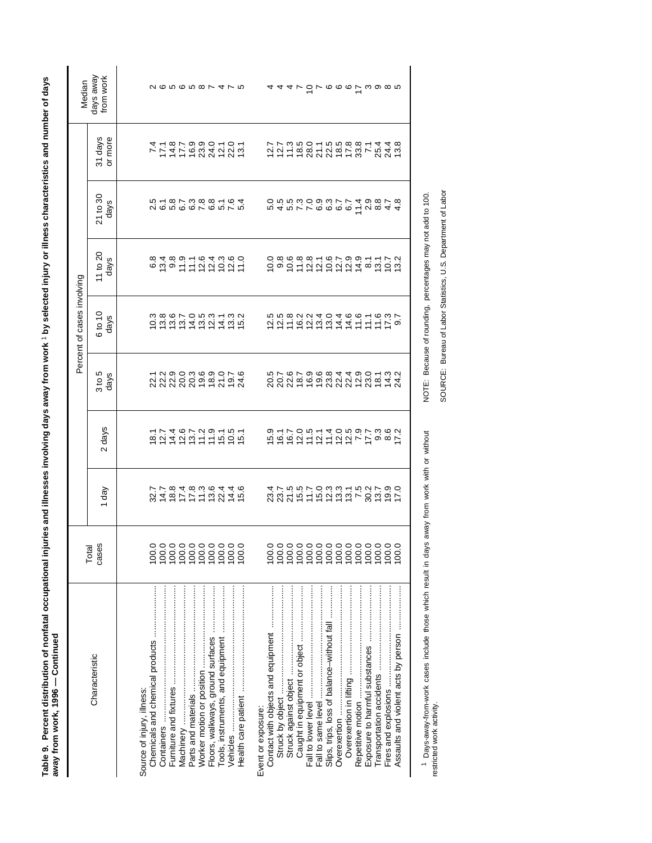| <b>Page 1</b><br>ا<br>آ<br>ļ<br>ī<br>ì                                 |   |
|------------------------------------------------------------------------|---|
| $\overline{\phantom{a}}$<br>5<br> <br> <br> }<br> <br>ì<br>i<br>j<br>3 | ĺ |
| $\ddot{a}$                                                             |   |

|                                            |                |                             |                                                      |                                                                         | Percent of cases involving |                                                                                 |                                                                         |                                                                                                           | Median                             |
|--------------------------------------------|----------------|-----------------------------|------------------------------------------------------|-------------------------------------------------------------------------|----------------------------|---------------------------------------------------------------------------------|-------------------------------------------------------------------------|-----------------------------------------------------------------------------------------------------------|------------------------------------|
| Characteristic                             | cases<br>Total | $\sqrt{e}b$                 | 2 days                                               | 3 to 5<br>days                                                          | 6 to 10<br>days            | 11 to 20<br>days                                                                | 21 to 30<br>days                                                        | 31 days<br>or more                                                                                        | days away<br>from work             |
|                                            |                |                             |                                                      |                                                                         |                            |                                                                                 |                                                                         |                                                                                                           |                                    |
| Source of injury, illness:                 |                |                             |                                                      |                                                                         |                            |                                                                                 |                                                                         |                                                                                                           |                                    |
|                                            | 100.0<br>100.0 | 32487712345234523452        |                                                      | 1 2 3 9 9 9 9 9 9 7 9<br>2 2 3 2 9 9 9 9 7 9 4<br>2 2 3 2 9 9 9 9 7 9 4 | 1086705311509115           |                                                                                 | 51873881645 20000 5 0 5 0 5 0 5 0 5 5 5 5 5                             | 7 けはけの2010 12 12 12 12 12 12 12 12 12 12 12 12 13 14 14 15 16 16 17 18 19 19 19 10 11 12 12 12 12 12 12 1 | 2656587475                         |
|                                            | 100.0          |                             |                                                      |                                                                         |                            |                                                                                 |                                                                         |                                                                                                           |                                    |
|                                            | 100.0          |                             |                                                      |                                                                         |                            |                                                                                 |                                                                         |                                                                                                           |                                    |
|                                            |                |                             |                                                      |                                                                         |                            |                                                                                 |                                                                         |                                                                                                           |                                    |
|                                            |                |                             |                                                      |                                                                         |                            |                                                                                 |                                                                         |                                                                                                           |                                    |
| Floors, walkways, ground surfaces          |                |                             |                                                      |                                                                         |                            |                                                                                 |                                                                         |                                                                                                           |                                    |
|                                            |                |                             |                                                      |                                                                         |                            |                                                                                 |                                                                         |                                                                                                           |                                    |
|                                            | 100.0          |                             |                                                      |                                                                         | 13.3<br>15.2               |                                                                                 |                                                                         |                                                                                                           |                                    |
|                                            | 100.0          |                             |                                                      |                                                                         |                            |                                                                                 |                                                                         |                                                                                                           |                                    |
| Event or exposure:                         |                |                             |                                                      |                                                                         |                            |                                                                                 |                                                                         |                                                                                                           |                                    |
|                                            | 100.0          | 232411232727272727272723272 | ちかのはけなけななっける 8 パラス 10 8 0 パーアの 4 1 2 9 9 9 7 9 8 9 7 |                                                                         |                            |                                                                                 |                                                                         |                                                                                                           |                                    |
| Struck by object                           | 100.0          |                             |                                                      |                                                                         |                            | O ∞ ७ ∞ ∞ ⊤ ७ 下 ० ० ० −<br>O ० ० ८ − ० ० ० ० ० ० ८<br>O ० ० ८ − ० ० ० ० ० ० ० ० | n 4 n r r o o o o c <sup>L</sup> u o 4 4<br>O n n n o o w r r 4 w o r o |                                                                                                           | <i>a a a r</i> 5 r o o o 7 w o o n |
|                                            | 100.0          |                             |                                                      |                                                                         |                            |                                                                                 |                                                                         |                                                                                                           |                                    |
|                                            |                |                             |                                                      |                                                                         |                            |                                                                                 |                                                                         |                                                                                                           |                                    |
|                                            |                |                             |                                                      |                                                                         |                            |                                                                                 |                                                                         |                                                                                                           |                                    |
|                                            |                |                             |                                                      |                                                                         |                            |                                                                                 |                                                                         |                                                                                                           |                                    |
| Slips, trips, loss of balance-without fall |                |                             |                                                      |                                                                         |                            |                                                                                 |                                                                         |                                                                                                           |                                    |
| Overexertion                               |                |                             |                                                      |                                                                         |                            |                                                                                 |                                                                         |                                                                                                           |                                    |
|                                            | 100.0          |                             |                                                      |                                                                         |                            |                                                                                 |                                                                         |                                                                                                           |                                    |
|                                            | 100.0          |                             |                                                      |                                                                         |                            |                                                                                 |                                                                         |                                                                                                           |                                    |
|                                            |                |                             |                                                      |                                                                         |                            |                                                                                 |                                                                         |                                                                                                           |                                    |
|                                            | 100.0          |                             |                                                      |                                                                         |                            |                                                                                 |                                                                         |                                                                                                           |                                    |
|                                            | 100.0          |                             |                                                      |                                                                         |                            | $7772$<br>$792$                                                                 |                                                                         |                                                                                                           |                                    |
|                                            | 0.00           |                             |                                                      |                                                                         |                            |                                                                                 |                                                                         |                                                                                                           |                                    |
|                                            |                |                             |                                                      |                                                                         |                            |                                                                                 |                                                                         |                                                                                                           |                                    |

<sup>1</sup> Days-away-from-work cases include those which result in days away from work with or without restricted work activity. Days-away-from-work cases include those which result in days away from work with or without restricted work activity.

SOURCE: Bureau of Labor Statistics, U.S. Department of Labor NOTE: Because of rounding, percentages may not add to 100. NOTE: Because of rounding, percentages may not add to 100.

SOURCE: Bureau of Labor Statistics, U.S. Department of Labor